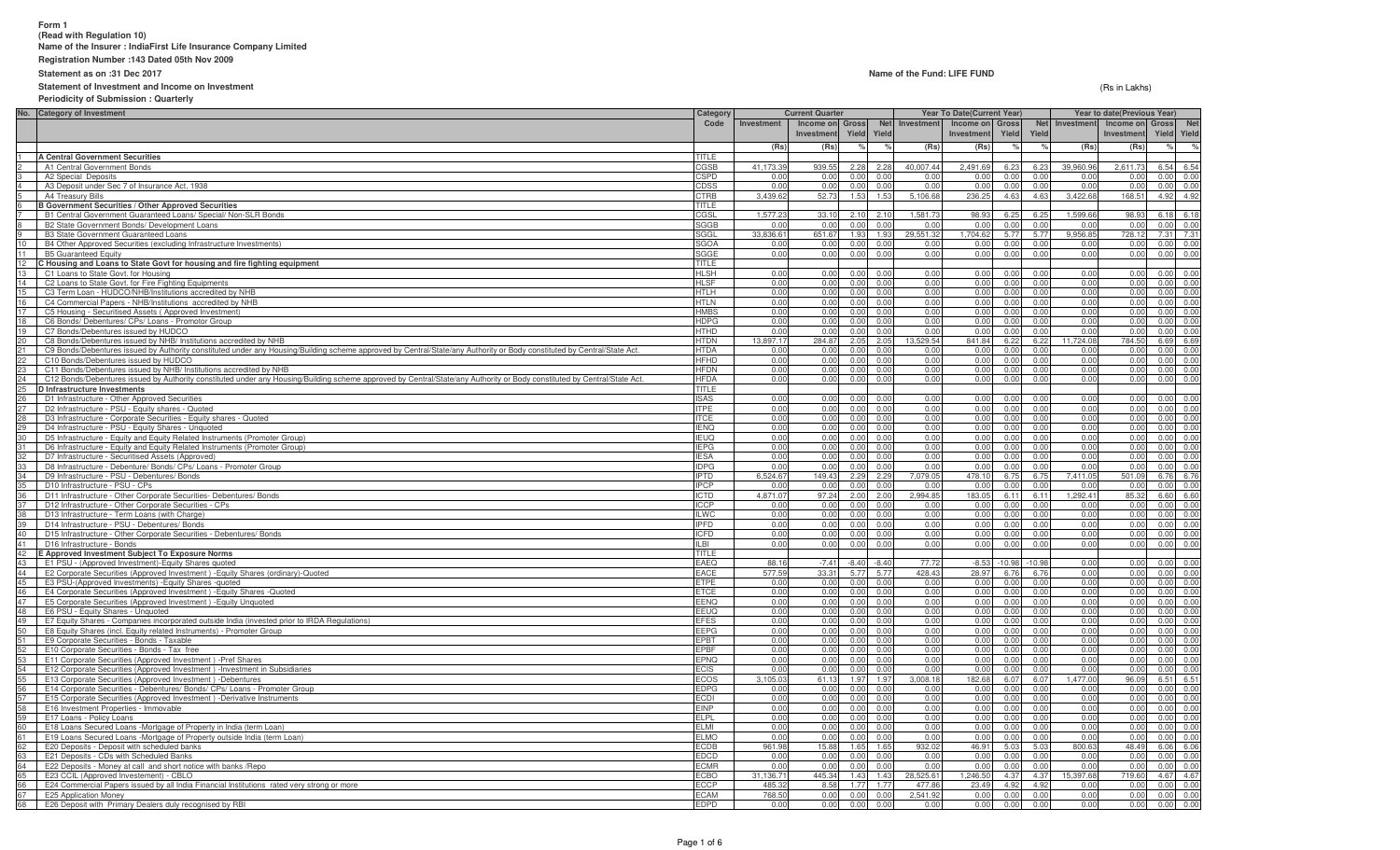## **Form 1 (Read with Regulation 10)Name of the Insurer : IndiaFirst Life Insurance Company Limited**

**Registration Number :143 Dated 05th Nov 2009**

**Statement as on :31 Dec 2017**

### **Statement of Investment and Income on Investment**

#### **Periodicity of Submission : Quarterly**

(Rs in Lakhs)

|                       | No. Category of Investment                                                                                                                                               | Category                   | <b>Current Quarter</b> |                 |                        |                        |                             | <b>Year To Date(Current Year)</b> |                        |                | Year to date(Previous Year) |                            |              |                                    |  |
|-----------------------|--------------------------------------------------------------------------------------------------------------------------------------------------------------------------|----------------------------|------------------------|-----------------|------------------------|------------------------|-----------------------------|-----------------------------------|------------------------|----------------|-----------------------------|----------------------------|--------------|------------------------------------|--|
|                       |                                                                                                                                                                          | Code                       | Investment             | Income on Gross |                        | Net                    | Investment                  | Income on Gross                   |                        | <b>Net</b>     |                             | Investment Income on Gross |              | <b>Net</b>                         |  |
|                       |                                                                                                                                                                          |                            |                        | Investment      | Yield Yield            |                        |                             | Investment                        | Yield                  | Yield          |                             | Investment                 |              | Yield Yield                        |  |
|                       |                                                                                                                                                                          |                            | (Rs                    | (Rs)            |                        |                        | (Rs)                        | (Rs)                              |                        |                | (Rs)                        | (Rs)                       |              | $\%$                               |  |
|                       | A Central Government Securities<br>A1 Central Government Bonds                                                                                                           | TITLE                      | 41.173.3               |                 |                        |                        |                             |                                   |                        |                |                             |                            |              |                                    |  |
|                       | A2 Special Deposits                                                                                                                                                      | CGSB<br><b>SPD</b>         | 0.0                    | 939.55<br>0.00  | 2.28<br>0.00           | 2.28<br>0 <sub>0</sub> | 40,007.44<br>0 <sub>0</sub> | 2,491.69<br>0 Q                   | 6.23<br>0 <sub>0</sub> | 6.23<br>0.00   | 39,960.96<br>0.00           | 2,611.73<br>0.00           | 0.00         | 6.54 6.54<br>0.00                  |  |
| 4                     | A3 Deposit under Sec 7 of Insurance Act, 1938                                                                                                                            | CDSS                       | 0.00                   | 0.00            | 0.00                   | 0.00                   | 0.00                        | 0.00                              | 0.00                   | 0.00           | 0.00                        | 0.00                       | 0.00         | 0.00                               |  |
|                       | A4 Treasury Bills                                                                                                                                                        | CTRB                       | 3,439.62               | 52.73           | 1.53                   | 1.53                   | 5,106.68                    | 236.25                            | 4.63                   | 4.63           | 3,422.68                    | 168.51                     |              | 4.92 4.92                          |  |
|                       | <b>B Government Securities / Other Approved Securities</b>                                                                                                               | <b>TITLE</b>               |                        |                 |                        |                        |                             |                                   |                        |                |                             |                            |              |                                    |  |
|                       | B1 Central Government Guaranteed Loans/ Special/ Non-SLR Bonds                                                                                                           | CGSL                       | 1,577.2                | 33.10           |                        | $2.10 \quad 2.10$      | 1,581.7                     | 98.93                             | 6.25                   | 6.25           | 1,599.6                     | 98.93                      |              | 6.18 6.18                          |  |
|                       | B2 State Government Bonds/ Development Loans                                                                                                                             | SGGB                       | 0.0(                   | 0.00            | 0.00                   | 0.0(                   | 0.0(                        | 0.00                              | 0.00                   | 0.00           | 0.0                         | 0.00                       | 0.00         | 0.00                               |  |
|                       | <b>B3 State Government Guaranteed Loans</b>                                                                                                                              | SGGL                       | 33,836.6               | 651.67          | 1.93                   | 1.93                   | 29.551.32                   | 1.704.62                          | 5.77                   | 5.77           | 9.956.8                     | 728.12                     | 7.31         | 7.31                               |  |
| 10<br>11              | B4 Other Approved Securities (excluding Infrastructure Investments)<br><b>B5 Guaranteed Equity</b>                                                                       | SGOA<br>SGGE               | 0.00<br>0.00           | 0.00<br>0.00    | 0.00<br>0.00           | 0.00<br>0.00           | 0.00<br>0.00                | 0.00<br>0.00                      | 0.00<br>0.00           | 0.00<br>0.00   | 0.00<br>0.00                | 0.00<br>0.00               | 0.00         | 0.00<br>$0.00 \ 0.00$              |  |
|                       | C Housing and Loans to State Govt for housing and fire fighting equipment                                                                                                | <b>TITLE</b>               |                        |                 |                        |                        |                             |                                   |                        |                |                             |                            |              |                                    |  |
| 13                    | C1 Loans to State Govt. for Housing                                                                                                                                      | <b>HLSH</b>                | 0.00                   | 0.00            | 0.00                   | 0.0(                   | 0.00                        | 0.00                              | 0 <sub>0</sub>         | 0.00           | 0.00                        | 0.00                       | 0.00         | 0.00                               |  |
|                       | 14 C2 Loans to State Govt. for Fire Fighting Equipments                                                                                                                  | <b>HLSF</b>                | 0.00                   | 0.00            | 0.00                   | 0.00                   | 0.00                        | 0.00                              | 0.00                   | 0.00           | 0.00                        | 0.00                       |              | 0.00 0.00                          |  |
| 15                    | C3 Term Loan - HUDCO/NHB/Institutions accredited by NHB                                                                                                                  | <b>HTLH</b>                | 0.00                   | 0.00            | 0.00                   | 0.00                   | 0.00                        | 0.00                              | 0.00                   | 0.00           | 0.00                        | 0.00                       |              | 0.00 0.00                          |  |
| 16<br>17              | C4 Commercial Papers - NHB/Institutions accredited by NHB                                                                                                                | HTLN                       | 0.00                   | 0.00            | 0.00                   | 0.00                   | 0.00                        | 0.00                              | 0.00                   | 0.00           | 0.00                        | 0.00                       |              | 0.00 0.00                          |  |
|                       | C5 Housing - Securitised Assets (Approved Investment)                                                                                                                    | <b>HMBS</b>                | 0.00                   | 0.00            | 0.00                   | 0.00                   | 0.00                        | 0.00                              | 0 <sup>0</sup>         | 0.00           | 0.00                        | 0.00                       | 0.00         | 0.00                               |  |
| 18                    | C6 Bonds/ Debentures/ CPs/ Loans - Promotor Group<br>C7 Bonds/Debentures issued by HUDCO                                                                                 | <b>HDPG</b><br><b>HTHD</b> | 0.00<br>0.00           | 0.00<br>0.00    | 0.00<br>0.00           | 0.00<br>0.00           | 0.00<br>0.00                | 0.00<br>0.00                      | 0.00<br>0 <sub>0</sub> | 0.00<br>0.00   | 0.00<br>0.00                | 0.00<br>0.00               | 0.00         | 0.00<br>0.00 0.00                  |  |
| 19<br>20              | C8 Bonds/Debentures issued by NHB/ Institutions accredited by NHB                                                                                                        | <b>HTDN</b>                | 13,897.1               | 284.87          | 2.05                   | 2.05                   | 13,529.54                   | 841.84                            | 6.22                   | 6.22           | 11,724.08                   | 784.50                     |              | 6.69 6.69                          |  |
| 21                    | C9 Bonds/Debentures issued by Authority constituted under any Housing/Building scheme approved by Central/State/any Authority or Body constituted by Central/State Act.  | <b>HTDA</b>                | 0.00                   | 0.00            | 0.00                   | 0.00                   | 0.00                        | 0.00                              | 0.00                   | 0.00           | 0.00                        | 0.00                       |              | $0.00 \ 0.00$                      |  |
| $^{22}$               | C10 Bonds/Debentures issued by HUDCO                                                                                                                                     | <b>HFHD</b>                | 0.00                   | 0.00            | 0.00                   | 0.00                   | 0.00                        | 0.00                              | 0.00                   | 0.00           | 0.00                        | 0.00                       | 0.00         | 0.00                               |  |
| 23                    | C11 Bonds/Debentures issued by NHB/ Institutions accredited by NHB                                                                                                       | <b>HFDN</b>                | 0.00                   | 0.00            | 0.00                   | 0.00                   | 0.00                        | 0.00                              | 0.00                   | 0.00           | 0.00                        | 0.00                       |              | $0.00 \quad 0.00$                  |  |
| 24                    | C12 Bonds/Debentures issued by Authority constituted under any Housing/Building scheme approved by Central/State/any Authority or Body constituted by Central/State Act. | HFDA                       | 0.00                   | 0.00            | 0.00                   | 0 <sup>0</sup>         | 0.00                        | 0.00                              | 0 <sub>0</sub>         | 0 <sub>0</sub> | 0.00                        | 0.00                       | 0.00         | 0.00                               |  |
| 25 <sub>2</sub>       | D Infrastructure Investments                                                                                                                                             | TITLE                      |                        |                 |                        |                        |                             |                                   |                        |                |                             |                            |              |                                    |  |
| 26<br>27              | D1 Infrastructure - Other Approved Securities<br>D2 Infrastructure - PSU - Equity shares - Quoted                                                                        | <b>ISAS</b><br><b>ITPE</b> | 0.00<br>0.00           | 0.00<br>0.00    | 0 <sub>0</sub><br>0.00 | 0.0<br>0.00            | 0.00<br>0.00                | 0 <sup>0</sup><br>0.00            | 0 <sub>0</sub><br>0.00 | 0.01<br>0.00   | 0.00<br>0.00                | 0.00<br>0.00               | 0.00<br>0.00 | 0.00<br>0.00                       |  |
| 28                    | D3 Infrastructure - Corporate Securities - Equity shares - Quoted                                                                                                        | <b>ITCE</b>                | 0.00                   | 0.00            | 0.00                   | 0.00                   | 0.00                        | 0.00                              | 0.00                   | 0.00           | 0.00                        | 0.00                       | 0.00         | 0.00                               |  |
| 29                    | D4 Infrastructure - PSU - Equity Shares - Unquoted                                                                                                                       | <b>IENQ</b>                | 0.00                   | 0.00            | 0.00                   | 0.00                   | 0.00                        | 0.00                              | 0.00                   | 0.00           | 0.00                        | 0.00                       | 0.00         | 0.00                               |  |
|                       | 30 D5 Infrastructure - Equity and Equity Related Instruments (Promoter Group)                                                                                            | <b>IEUQ</b>                | 0.00                   | 0.00            | 0.00                   | 0.00                   | 0.00                        | 0.00                              | 0.00                   | 0.00           | 0.00                        | 0.00                       | 0.00         | 0.00                               |  |
|                       | D6 Infrastructure - Equity and Equity Related Instruments (Promoter Group)                                                                                               | <b>IEPG</b>                | 0.00                   | 0.00            | 0.00                   | 0.00                   | 0.00                        | 0.00                              | 0.00                   | 0.00           | 0.00                        | 0.00                       | 0.00         | 0.00                               |  |
| 32                    | D7 Infrastructure - Securitised Assets (Approved)                                                                                                                        | <b>IFSA</b>                | 0.00                   | 0.00            | 0.00                   | 0.00                   | 0.00                        | 0.00                              | 0.00                   | 0.00           | 0.00                        | 0.00                       | 0.00         | 0.00                               |  |
|                       | D8 Infrastructure - Debenture/ Bonds/ CPs/ Loans - Promoter Group<br>D9 Infrastructure - PSU - Debentures/ Bonds                                                         | <b>DPG</b><br><b>IPTD</b>  | 0.0(<br>6,524.67       | 0.00<br>149.43  | 0.00<br>2.29           | 0.0<br>2.29            | 0.0(<br>7,079.05            | 0.00<br>478.10                    | 0.0(<br>6.75           | 0.00<br>6.75   | 0.0<br>7.411.05             | 0.0(<br>501.09             | 0.00<br>6.76 | 0.00<br>6.76                       |  |
| 34<br>35              | D10 Infrastructure - PSU - CPs                                                                                                                                           | <b>IPCP</b>                | 0.00                   | 0.00            | 0.00                   | 0.00                   | 0.00                        | 0.00                              | 0.00                   | 0.00           | 0.00                        | 0.00                       | 0.00         | 0.00                               |  |
| 36                    | D11 Infrastructure - Other Corporate Securities- Debentures/ Bonds                                                                                                       | ICTD                       | 4,871.07               | 97.24           | 2.00                   | 2.00                   | 2,994.85                    | 183.05                            | 6.11                   | 6.11           | 1,292.41                    | 85.32                      | 6.60         | 6.60                               |  |
|                       | D12 Infrastructure - Other Corporate Securities - CPs                                                                                                                    | ICCP                       | 0.0                    | 0.00            | 0.00                   | 0.00                   | 0.01                        | 0.00                              | 0.00                   | 0.00           | 0.00                        | 0.00                       | 0.00         | 0.00                               |  |
| 38                    | D13 Infrastructure - Term Loans (with Charge)                                                                                                                            | <b>ILWC</b>                | 0.00                   | 0.00            | 0.00                   | 0.00                   | 0.00                        | 0.00                              | 0 <sub>0</sub>         | 0.00           | 0.00                        | 0.00                       | 0.00         | 0.00                               |  |
|                       | 39 D14 Infrastructure - PSU - Debentures/ Bonds                                                                                                                          | <b>IPFD</b>                | 0.00                   | 0.00            | 0.00                   | 0.00                   | 0.00                        | 0.00                              | 0.00                   | 0.00           | 0.00                        | 0.00                       |              | $0.00 \quad 0.00$                  |  |
| 40<br>41              | D15 Infrastructure - Other Corporate Securities - Debentures/ Bonds<br>D16 Infrastructure - Bonds                                                                        | <b>ICFD</b><br>II BI       | 0.00<br>0.00           | 0.00<br>0.00    | 0.00<br>0.00           | 0.00<br>0.00           | 0.00<br>0.00                | 0.00<br>0.00                      | 0.00<br>0.00           | 0.00<br>0.00   | 0.00<br>0.00                | 0.00<br>0.00               |              | $0.00 \quad 0.00$<br>$0.00 \ 0.00$ |  |
| 42                    | E Approved Investment Subject To Exposure Norms                                                                                                                          | TITLE                      |                        |                 |                        |                        |                             |                                   |                        |                |                             |                            |              |                                    |  |
| 43                    | E1 PSU - (Approved Investment)-Equity Shares quoted                                                                                                                      | EAEQ                       | 88.16                  | $-7.41$         | $-8.40$                | $-8.4$                 | 77.72                       | $-8.53$                           | $-10.98$               | $-10.98$       | 0.00                        | 0.00                       | 0.00         | 0.00                               |  |
| 44                    | E2 Corporate Securities (Approved Investment) - Equity Shares (ordinary)-Quoted                                                                                          | EACE                       | 577.59                 | 33.31           | 5.77                   | 5.77                   | 428.43                      | 28.97                             | 6.76                   | 6.76           | 0.00                        | 0.00                       |              | 0.00 0.00                          |  |
| 45                    | E3 PSU-(Approved Investments) - Equity Shares - quoted                                                                                                                   | <b>ETPE</b>                | 0.00                   | 0.00            | 0.00                   | 0.00                   | 0.00                        | 0.00                              | 0.00                   | 0.00           | 0.00                        | 0.00                       |              | 0.00 0.00                          |  |
| 46                    | E4 Corporate Securities (Approved Investment) - Equity Shares - Quoted                                                                                                   | ETCE                       | 0.00                   | 0.00            | 0.00                   | 0.00                   | 0.00                        | 0.00                              | 0.00                   | 0.00           | 0.00                        | 0.00                       | 0.00         | 0.00                               |  |
| 47<br>48              | E5 Corporate Securities (Approved Investment) - Equity Unquoted<br>E6 PSU - Equity Shares - Unquoted                                                                     | EENQ<br>EEUQ               | 0.00<br>0.00           | 0.00<br>0.00    | 0.00<br>0.00           | 0.00<br>0.00           | 0.00<br>0.00                | 0.00<br>0.00                      | 0.00<br>0.00           | 0.00<br>0.00   | 0.00<br>0.00                | 0.00<br>0.00               |              | 0.00 0.00<br>0.00 0.00             |  |
| 49                    | E7 Equity Shares - Companies incorporated outside India (invested prior to IRDA Regulations)                                                                             | EFES                       | 0.00                   | 0.00            | 0.00                   | 0.00                   | 0.00                        | 0.00                              | 0.00                   | 0.00           | 0.00                        | 0.00                       |              | 0.00 0.00                          |  |
| 50                    | E8 Equity Shares (incl. Equity related Instruments) - Promoter Group                                                                                                     | <b>EEPG</b>                | 0.00                   | 0.00            | 0.00                   | 0.00                   | 0.00                        | 0.00                              | 0.00                   | 0.00           | 0.00                        | 0.00                       | 0.00         | 0.00                               |  |
| 51                    | E9 Corporate Securities - Bonds - Taxable                                                                                                                                | <b>EPBT</b>                | 0.00                   | 0.00            | 0.00                   | 0.00                   | 0.00                        | 0.00                              | 0 <sub>0</sub>         | 0.00           | 0.00                        | 0.00                       | 0.00         | 0.00                               |  |
| $\frac{52}{53}$<br>53 | E10 Corporate Securities - Bonds - Tax free                                                                                                                              | EPBF                       | 0.00                   | 0.00            | 0.00                   | 0.00                   | 0.00                        | 0.00                              | 0.00                   | 0.00           | 0.00                        | 0.00                       |              | 0.00 0.00                          |  |
|                       | E11 Corporate Securities (Approved Investment) - Pref Shares                                                                                                             | <b>EPNQ</b>                | 0.00                   | 0.00            | 0.00                   | 0.00                   | 0.00                        | 0.00                              | 0 <sup>0</sup>         | 0.00           | 0.00                        | 0.00                       | 0.00         | 0.00                               |  |
|                       | E12 Corporate Securities (Approved Investment) - Investment in Subsidiaries                                                                                              | <b>ECIS</b>                | 0.00                   | 0.00            | 0.00                   | 0.00                   | 0.00                        | 0.00                              | 0.00                   | 0.00           | 0.00                        | 0.00                       |              | $0.00 \ 0.00$                      |  |
| $55-$<br>56           | E13 Corporate Securities (Approved Investment) -Debentures<br>E14 Corporate Securities - Debentures/ Bonds/ CPs/ Loans - Promoter Group                                  | <b>ECOS</b><br><b>EDPG</b> | 3.105.03<br>0.00       | 61.13<br>0.00   | 1.97<br>0.00           | 1.97<br>0.00           | 3.008.18<br>0.00            | 182.68<br>0.00                    | 6.07<br>0.00           | 6.07<br>0.00   | 1.477.00<br>0.00            | 96.09<br>0.00              |              | 6.51 6.51<br>0.00 0.00             |  |
| 57                    | E15 Corporate Securities (Approved Investment) -Derivative Instruments                                                                                                   | ECDI                       | 0.00                   | 0.00            | 0.00                   | 0.00                   | 0.00                        | 0.00                              | 0 <sup>0</sup>         | 0.00           | 0.00                        | 0.00                       | 0.00         | 0.00                               |  |
| 58                    | E16 Investment Properties - Immovable                                                                                                                                    | <b>EINP</b>                | 0.00                   | 0.00            | 0.00                   | 0.0(                   | 0.00                        | 0.00                              | 0.0(                   | 0.0(           | 0.0(                        | 0.00                       | 0.00         | 0.00                               |  |
| 59                    | E17 Loans - Policy Loans                                                                                                                                                 | ELPL                       | 0.00                   | 0.00            | 0.00                   | 0.00                   | 0.00                        | 0.00                              | 0.00                   | 0.00           | 0.00                        | 0.00                       | 0.00         | 0.00                               |  |
| 60                    | E18 Loans Secured Loans -Mortgage of Property in India (term Loan)                                                                                                       | <b>ELMI</b>                | 0.00                   | 0.00            | 0.00                   | 0.00                   | 0.00                        | 0.00                              | 0.0(                   | 0.00           | 0.00                        | 0.00                       | 0.00         | 0.00                               |  |
| 61                    | E19 Loans Secured Loans -Mortgage of Property outside India (term Loan)                                                                                                  | <b>ELMO</b>                | 0.00                   | 0.00            | 0.00                   | 0.00                   | 0.00                        | 0.00                              | 0.00                   | 0.00           | 0.00                        | 0.00                       | 0.00         | 0.00                               |  |
| 62                    | E20 Deposits - Deposit with scheduled banks                                                                                                                              | <b>ECDB</b>                | 961.98                 | 15.88           | 1.65                   | 1.65                   | 932.02                      | 46.91                             | 5.03                   | 5.03           | 800.63                      | 48.49                      | 6.06         | 6.06                               |  |
| 63<br>64 I            | E21 Deposits - CDs with Scheduled Banks<br>E22 Deposits - Money at call and short notice with banks /Repo                                                                | <b>EDCD</b><br><b>ECMR</b> | 0.00<br>0.00           | 0.00<br>0.00    | 0.00<br>0.00           | 0.00<br>0.00           | 0.00<br>0.00                | 0.00<br>0.00                      | 0.00<br>0.00           | 0.00<br>0.00   | 0.00<br>0.00                | 0.00<br>0.00               | 0.00<br>0.00 | 0.00<br>0.00                       |  |
|                       | E23 CCIL (Approved Investement) - CBLO                                                                                                                                   | ECBO                       | 31.136.7               | 445.34          | 1.43                   | 1.43                   | 28.525.61                   | 1.246.50                          | 4.3                    | 4.37           | 15.397.68                   | 719.60                     | 4.67         | 4.67                               |  |
| 66                    | E24 Commercial Papers issued by all India Financial Institutions rated very strong or more                                                                               | FCCP                       | 485.3                  | 8.58            | 1.77                   | 1.77                   | 477.86                      | 23.49                             | 4.92                   | 4.92           | 0.00                        | 0.00                       | 0.00         | 0.00                               |  |
| 67                    | <b>E25 Application Money</b>                                                                                                                                             | ECAM                       | 768.5                  | 0.00            | 0.00                   | 0.00                   | 2.541.92                    | 0.00                              | 0 <sub>0</sub>         | 0.0(           | 0.00                        | 0.00                       | 0.00         | 0.00                               |  |
| 68                    | E26 Deposit with Primary Dealers duly recognised by RBI                                                                                                                  | <b>EDPD</b>                | 0.00                   | 0.00            | 0.00                   | 0.00                   | 0.00                        | 0.00                              | 0.00                   | 0.00           | 0.00                        | 0.00                       | 0.00         | 0.00                               |  |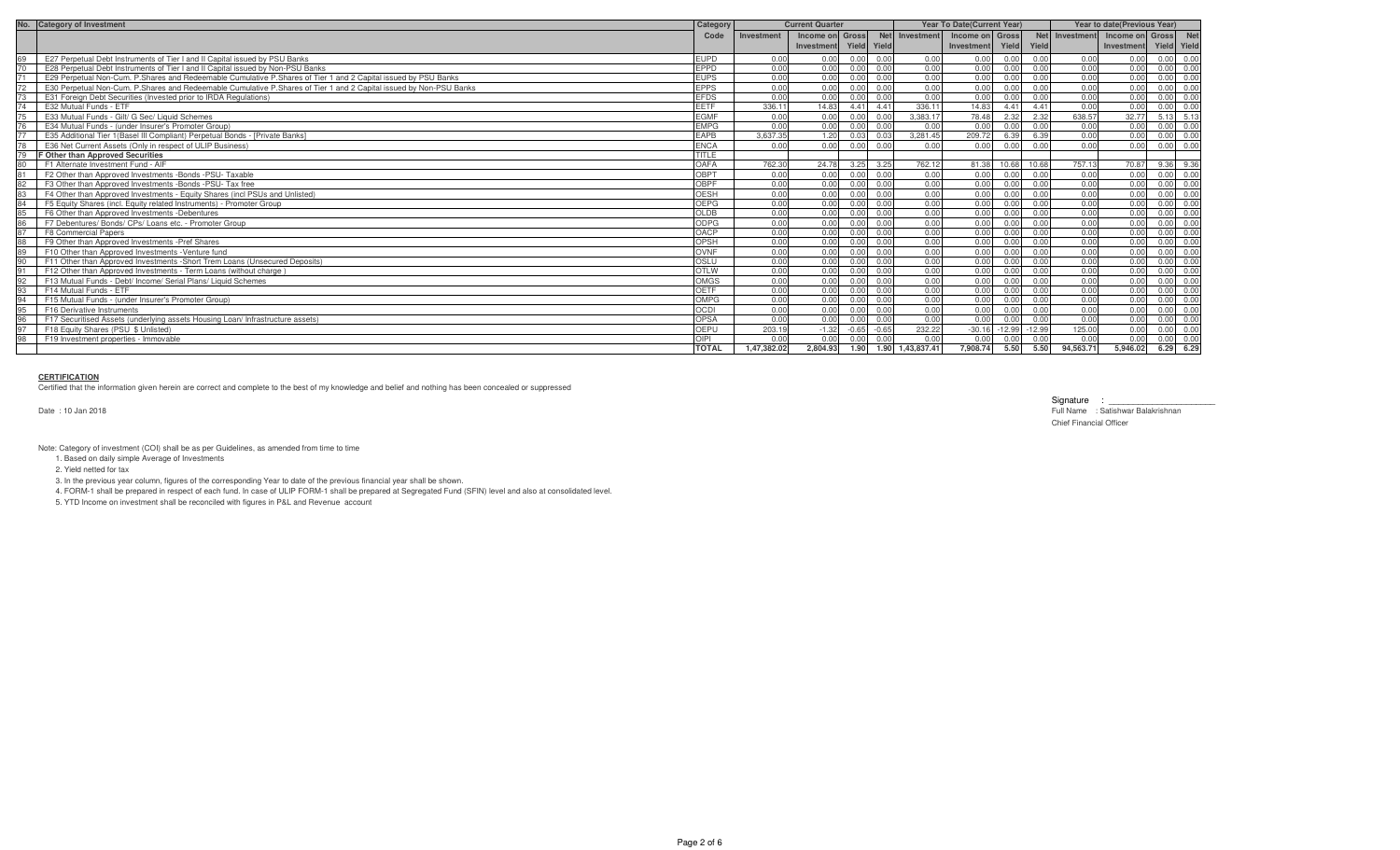| No. | <b>Category of Investment</b>                                                                                      | Category     |             | <b>Current Quarter</b> |                   | Year To Date(Current Year) |                       |                        |                   | Year to date (Previous Year) |                |                 |      |             |
|-----|--------------------------------------------------------------------------------------------------------------------|--------------|-------------|------------------------|-------------------|----------------------------|-----------------------|------------------------|-------------------|------------------------------|----------------|-----------------|------|-------------|
|     |                                                                                                                    | Code         | Investment  | Income on Gross        |                   |                            | Net Investment        | Income on Gross        |                   |                              | Net Investment | Income on Gross |      | <b>Net</b>  |
|     |                                                                                                                    |              |             | Investment Yield Yield |                   |                            |                       | Investment Yield Yield |                   |                              |                | Investment      |      | Yield Yield |
|     | E27 Perpetual Debt Instruments of Tier I and II Capital issued by PSU Banks                                        | <b>EUPD</b>  | 0.00        | 0.00                   | 0.00              | 0.00                       | 0.00                  | 0.00                   | 0.00              | 0.00                         | 0.00           | 0.00            | 0.00 | 0.00        |
|     | E28 Perpetual Debt Instruments of Tier Land II Capital issued by Non-PSU Banks                                     | EPPD         | 0.00        | 0.00                   | 0.00              | 0.00                       | 0.00                  | 0.00                   | 0.00              | 0.00                         | 0.00           | 0.00            | 0.00 | 0.00        |
|     | E29 Perpetual Non-Cum, P.Shares and Redeemable Cumulative P.Shares of Tier 1 and 2 Capital issued by PSU Banks     | <b>EUPS</b>  | 0.00        | 0.00                   | $0.00 \quad 0.00$ |                            | 0.00                  | 0.00                   | 0.00              | 0.00                         | 0.00           | 0.00            | 0.00 | 0.00        |
|     | E30 Perpetual Non-Cum. P.Shares and Redeemable Cumulative P.Shares of Tier 1 and 2 Capital issued by Non-PSU Banks | <b>EPPS</b>  | 0.00        | 0.00                   | $0.00 \quad 0.00$ |                            | 0.00                  | 0.00                   | 0.00              | 0.00                         | 0.00           | 0.00            | 0.00 | 0.00        |
|     | E31 Foreign Debt Securities (Invested prior to IRDA Regulations)                                                   | <b>EFDS</b>  | 0.00        | 0.00                   | 0.00              | 0.00                       | 0.00                  | 0.00                   | 0.00              | 0.00                         | 0.00           | 0.00            | 0.00 | 0.00        |
|     | E32 Mutual Funds - ETF                                                                                             | <b>EETF</b>  | 336.11      | 14.83                  | 4.41 4.41         |                            | 336.1                 | 14.83                  | 4.41              | 4.41                         | 0.00           | 0.00            | 0.00 | 0.00        |
|     | E33 Mutual Funds - Gilt/ G Sec/ Liquid Schemes                                                                     | <b>EGMF</b>  | 0.00        | 0.00                   | 0.00 0.00         |                            | 3.383.1               | 78.48                  | 2.32              | 2.32                         | 638.57         | 32.77           | 5.13 | 5.13        |
|     | E34 Mutual Funds - (under Insurer's Promoter Group)                                                                | <b>EMPG</b>  | 0.00        | 0.00                   | 0.00              | 0.00                       | 0.00                  | 0.00                   | 0.00              | 0.00                         | 0.00           | 0.00            | 0.00 | 0.00        |
|     | E35 Additional Tier 1 (Basel III Compliant) Perpetual Bonds - [Private Banks]                                      | <b>EAPB</b>  | 3.637.35    | 1.20                   | 0.03              | 0.03                       | 3.281.45              | 209.72                 |                   | 6.39                         | 0.00           | 0.00            | 0.00 | 0.00        |
|     | E36 Net Current Assets (Only in respect of ULIP Business)                                                          | <b>ENCA</b>  | 0.00        | 0.00                   | 0.00              | 0.00                       | 0.00                  | 0.00                   | 0.00              | 0.00                         | 0.00           | 0.00            | 0.00 | 0.00        |
|     | <b>F Other than Approved Securities</b>                                                                            | <b>TITLE</b> |             |                        |                   |                            |                       |                        |                   |                              |                |                 |      |             |
|     | F1 Alternate Investment Fund - AIF                                                                                 | OAFA         | 762.30      | 24.78                  | 3.25 3.25         |                            | 762.12                |                        | 81.38 10.68 10.68 |                              | 757.13         | 70.87           | 9.36 | 9.36        |
|     | F2 Other than Approved Investments -Bonds -PSU- Taxable                                                            | OBPT         | 0.00        | 0.00                   | 0.00 0.00         |                            | 0.00                  | 0.00                   | 0.00              | 0.00                         | 0.00           | 0.00            | 0.00 | 0.00        |
|     | F3 Other than Approved Investments -Bonds -PSU- Tax free                                                           | OBPF         | 0.00        | 0.00                   | 0.00              | 0.00                       | 0.00                  | 0.00                   | 0.00              | 0.00                         | 0.00           | 0.00            | 0.00 | 0.00        |
|     | F4 Other than Approved Investments - Equity Shares (incl PSUs and Unlisted)                                        | <b>OESH</b>  | 0.00        | 0.00                   | 0.00 0.00         |                            | 0.00                  | 0.00                   | 0.00              | 0.00                         | 0.00           | 0.00            | 0.00 | 0.00        |
|     | F5 Equity Shares (incl. Equity related Instruments) - Promoter Group                                               | OEPG         | 0.00        | 0.00                   | $0.00 \quad 0.00$ |                            | 0.00                  | 0.00                   | 0.00              | 0.00                         | 0.00           | 0.00            | 0.00 | 0.00        |
|     | F6 Other than Approved Investments - Debentures                                                                    | OLDB         | 0.00        | 0.00                   | 0.00              | 0.00                       | 0.00                  | 0.00                   | 0.00              | 0.00                         | 0.00           | 0.00            | 0.00 | 0.00        |
|     | F7 Debentures/ Bonds/ CPs/ Loans etc. - Promoter Group                                                             | <b>ODPG</b>  | 0.00        | 0.00                   | 0.00              | 0.00                       | 0.00                  | 0.00                   | 0.00              | 0.00                         | 0.00           | 0.00            | 0.00 | 0.00        |
|     | F8 Commercial Papers                                                                                               | OACP         | 0.00        | 0.00                   | 0.00              | 0.00                       | 0.00                  | 0.00                   | 0.00              | 0.00                         | 0.00           | 0.00            | 0.00 | 0.00        |
|     | F9 Other than Approved Investments - Pref Shares                                                                   | OPSH         | 0.00        | 0.00                   | $0.00 \quad 0.00$ |                            | 0.00                  | 0.00                   | 0.00              | 0.00                         | 0.00           | 0.00            | 0.00 | 0.00        |
| 89  | F10 Other than Approved Investments - Venture fund                                                                 | OVNF         | 0.00        | 0.00                   | 0.00              | 0.00                       | 0.00                  | 0.00                   | 0.00              | 0.00                         | 0.00           | 0.00            | 0.00 | 0.00        |
|     | F11 Other than Approved Investments - Short Trem Loans (Unsecured Deposits)                                        | OSLU         | 0.00        | 0.00                   | 0.00              | 0.00                       | 0.00                  | 0.00                   | 0.00              | 0.00                         | 0.00           | 0.00            | 0.00 | 0.00        |
|     | F12 Other than Approved Investments - Term Loans (without charge)                                                  | <b>OTLW</b>  | 0.00        | 0.00                   | 0.00              | 0.00                       | 0.00                  | 0.00                   | 0.00              | 0.00                         | 0.00           | 0.00            | 0.00 | 0.00        |
|     | F13 Mutual Funds - Debt/ Income/ Serial Plans/ Liquid Schemes                                                      | OMGS         | 0.00        | 0.00                   | 0.00              | 0.00                       | 0.00                  | 0.00                   | 0.00              | 0.00                         | 0.00           | 0.00            | 0.00 | 0.00        |
|     | F14 Mutual Funds - ETF                                                                                             | OETF         | 0.00        | 0.00                   | 0.00              | 0.00                       | 0.00                  | 0.00                   | 0.00              | 0.00                         | 0.00           | 0.00            | 0.00 | 0.00        |
|     | F15 Mutual Funds - (under Insurer's Promoter Group)                                                                | OMPG         | 0.00        | 0.00                   | 0.00              | 0.00                       | 0.00                  | 0.00                   | 0.00              | 0.00                         | 0.00           | 0.00            | 0.00 | 0.00        |
|     | F16 Derivative Instruments                                                                                         | <b>OCDI</b>  | 0.00        | 0.00                   | 0.00              | 0.00                       | 0.00                  | 0.00                   | 0.00              | 0.00                         | 0.00           | 0.00            | 0.00 | 0.00        |
|     | F17 Securitised Assets (underlying assets Housing Loan/ Infrastructure assets)                                     | OPSA         | 0.00        | 0.00                   | $0.00 \quad 0.00$ |                            | 0.00                  | 0.00                   | 0.00              | 0.00                         | 0.00           | 0.00            | 0.00 | 0.00        |
|     | F18 Equity Shares (PSU \$ Unlisted)                                                                                | OEPU         | 203.19      | $-1.32$                | $-0.65 - 0.65$    |                            | 232.22                | $-30.16$               | $-12.99 - 12.99$  |                              | 125.00         | 0.00            | 0.00 | 0.00        |
|     | F19 Investment properties - Immovable                                                                              | OIPI         | 0.00        | 0.00                   | 0.00              | 0.00                       | 0.00                  | 0.00                   | 0.00              | 0.00                         | 0.00           | 0.00            | 0.00 | 0.00        |
|     |                                                                                                                    | <b>TOTAL</b> | 1.47.382.02 | 2.804.93               |                   |                            | 1.90 1.90 1.43.837.41 | 7.908.74               | 5.50              | 5.50                         | 94.563.71      | 5.946.02        | 6.29 | 6.29        |

## **CERTIFICATION**

Certified that the information given herein are correct and complete to the best of my knowledge and belief and nothing has been concealed or suppressed

Date : 10 Jan 2018

Signature : \_\_\_\_\_\_\_\_\_\_\_\_\_\_\_\_\_\_\_\_\_\_ Full Name : Satishwar Balakrishnan Chief Financial Officer

Note: Category of investment (COI) shall be as per Guidelines, as amended from time to time

1. Based on daily simple Average of Investments

2. Yield netted for tax

3. In the previous year column, figures of the corresponding Year to date of the previous financial year shall be shown.

4. FORM-1 shall be prepared in respect of each fund. In case of ULIP FORM-1 shall be prepared at Segregated Fund (SFIN) level and also at consolidated level.

5. YTD Income on investment shall be reconciled with figures in P&L and Revenue account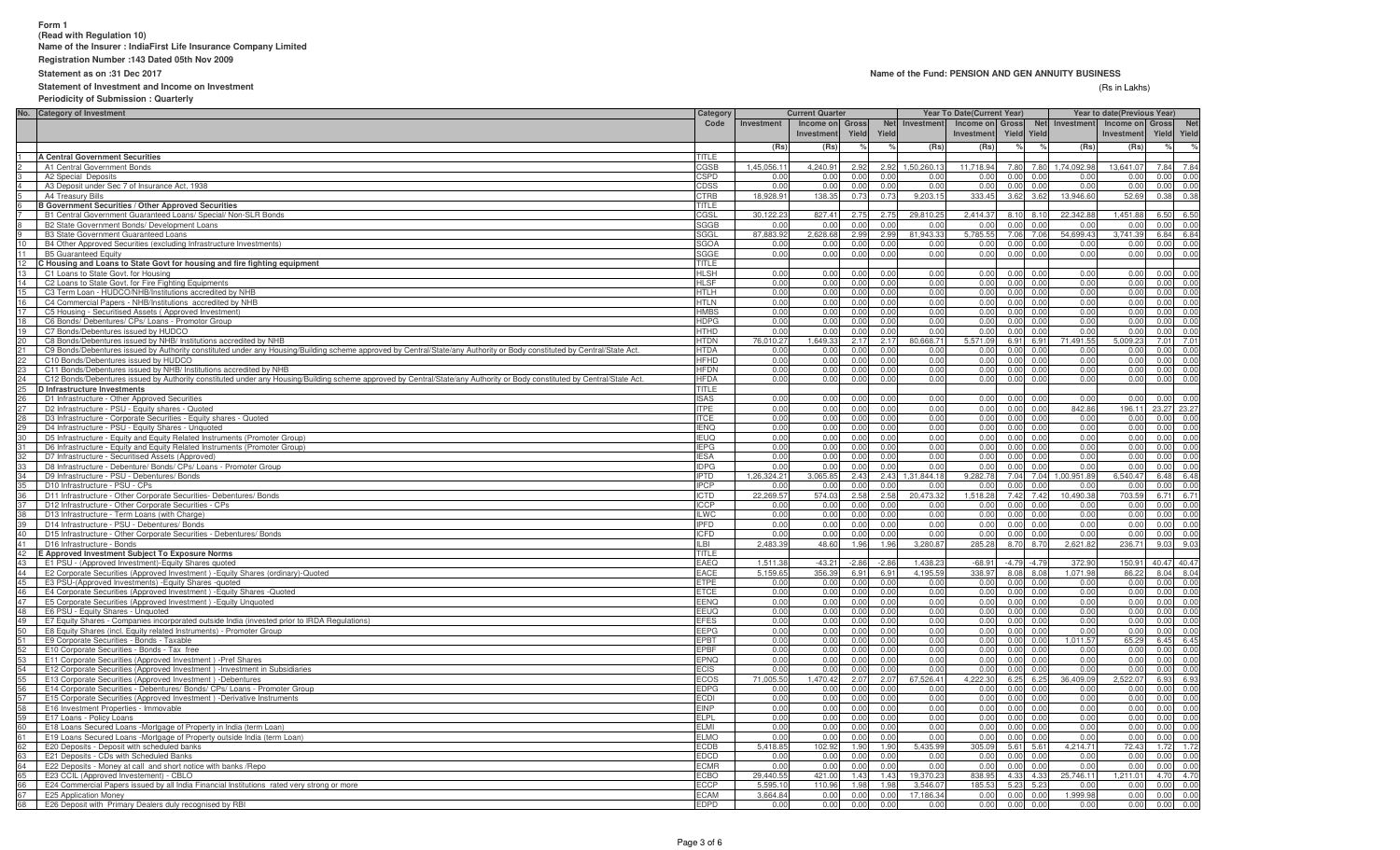# **Form 1 (Read with Regulation 10)Name of the Insurer : IndiaFirst Life Insurance Company Limited**

**Registration Number :143 Dated 05th Nov 2009**

## **Statement as on :31 Dec 2017**

## **Statement of Investment and Income on Investment**

#### **Name of the Fund: PENSION AND GEN ANNUITY BUSINESS**

#### (Rs in Lakhs) (Rs in Lakhs)

**Periodicity of Submission : Quarterly**

|                 | No. Category of Investment                                                                                                                                               | Category                   |                               | <b>Current Quarter</b>                 |                |                |                | <b>Year To Date(Current Year)</b> |                           | Year to date(Previous Year) |                              |             |                            |
|-----------------|--------------------------------------------------------------------------------------------------------------------------------------------------------------------------|----------------------------|-------------------------------|----------------------------------------|----------------|----------------|----------------|-----------------------------------|---------------------------|-----------------------------|------------------------------|-------------|----------------------------|
|                 |                                                                                                                                                                          | Code                       | Investment                    | Income on Gross<br>Investment<br>Yield |                | <b>Net</b>     | Investment     | Income on Gross                   |                           | Net Investment              | Income on Gross              |             | <b>Net</b>                 |
|                 |                                                                                                                                                                          |                            |                               |                                        |                | Yield          |                | Investment                        | <b>Yield Yield</b>        |                             | Investment                   | Yield Yield |                            |
|                 |                                                                                                                                                                          |                            | (Rs)                          | (Rs)                                   |                |                | (Rs)           | (Rs)                              |                           |                             | (Rs)<br>(Rs)                 | $\%$        |                            |
|                 | <b>A Central Government Securities</b>                                                                                                                                   | TITI F                     |                               |                                        |                |                |                |                                   |                           |                             |                              |             |                            |
|                 | A1 Central Government Bonds                                                                                                                                              | CGSB                       | 1,45,056.11<br>0 <sup>0</sup> | 4,240.91                               | 2.92<br>0.00   | 2.92           | 1,50,260.1     | 11.718.94<br>0.00                 | 7.80                      | 1,74,092.98<br>7.80         | 13,641.07                    | 7.84        | 7.84                       |
|                 | A2 Special Deposits<br>A3 Deposit under Sec 7 of Insurance Act, 1938                                                                                                     | <b>SPD</b><br>CDSS         | 0.00                          | 0.00<br>0.00                           | 0.00           | 0.00<br>0.00   | 0.0<br>0.0(    | 0.00                              | 0.00<br>0.00              | 0.00<br>0.00                | 0.00<br>0.00<br>0.00<br>0.00 |             | 0.00 0.00<br>0.00 0.00     |
|                 | A4 Treasury Bills                                                                                                                                                        | CTRB                       | 18,928.91                     | 138.35                                 | 0.73           | 0.73           | 9,203.15       | 333.45                            | 3.62 3.62                 | 13,946.60                   | 52.69                        |             | $0.38$ 0.38                |
|                 | <b>B Government Securities / Other Approved Securities</b>                                                                                                               | TITLE                      |                               |                                        |                |                |                |                                   |                           |                             |                              |             |                            |
|                 | B1 Central Government Guaranteed Loans/ Special/ Non-SLR Bonds                                                                                                           | CGSL                       | 30,122.23                     | 827.41                                 | 2.75           | 2.75           | 29,810.2       | 2,414.37                          | 8.10 8.10                 | 22,342.88                   | 1.451.88                     |             | 6.50 6.50                  |
|                 | B2 State Government Bonds/ Development Loans                                                                                                                             | SGGB                       | 0 <sup>0</sup>                | 0.00                                   | 0 <sub>0</sub> | 0.00           | 0.0            | 0.00                              | 0.00                      | 0.00                        | 0.00<br>0.00                 | 0.00        | 0.00                       |
|                 | <b>B3 State Government Guaranteed Loans</b>                                                                                                                              | SGGL                       | 87,883,92                     | 2.628.68                               | 2.99           | 2.99           | 81,943.3       | 5.785.55                          | 7.06                      | 54,699.43<br>7.06           | 3.741.39                     |             | 6.84 6.84                  |
| 10              | B4 Other Approved Securities (excluding Infrastructure Investments)                                                                                                      | SGOA                       | 0 <sup>0</sup>                | 0.00                                   | 0 <sub>0</sub> | 0 <sub>0</sub> | 0 <sup>0</sup> | 0.00                              | 0.00                      | 0 <sub>0</sub>              | 0.00<br>0.00                 |             | 0.00 0.00                  |
| 11              | <b>B5 Guaranteed Equity</b>                                                                                                                                              | SGGE                       | 0.00                          | 0.00                                   | 0.00           | 0.00           | 0.0(           | 0.00                              | 0.00                      | 0.00                        | 0.00<br>0.00                 |             | 0.00 0.00                  |
| 12<br>13        | C Housing and Loans to State Govt for housing and fire fighting equipment                                                                                                | <b>TITLE</b>               |                               |                                        |                |                |                |                                   |                           |                             |                              |             |                            |
|                 | C1 Loans to State Govt. for Housing                                                                                                                                      | <b>HLSH</b>                | 0.00                          | 0.00                                   | 0.00           | 0.00<br>0.00   | 0.00           | 0.00                              | $0.00 \quad 0.00$<br>0.00 |                             | 0.00<br>0.00                 |             | 0.00 0.00                  |
| 14              | C2 Loans to State Govt. for Fire Fighting Equipments<br>C3 Term Loan - HUDCO/NHB/Institutions accredited by NHB                                                          | <b>HLSF</b><br><b>HTLH</b> | 0.00<br>0.00                  | 0.00<br>0.00                           | 0.00<br>0.00   | 0.00           | 0.00<br>0.00   | 0.00<br>0.00                      | 0.00                      | 0.00<br>0.00                | 0.00<br>0.00<br>0.00<br>0.00 | 0.00        | 0.00 0.00<br>0.00          |
| 16              | C4 Commercial Papers - NHB/Institutions accredited by NHB                                                                                                                | HTLN                       | 0.00                          | 0.00                                   | 0.00           | 0.00           | 0.00           | 0.00                              | 0.00                      | 0.00                        | 0.00<br>0.00                 | 0.00        | 0.00                       |
| 17 <sup>2</sup> | C5 Housing - Securitised Assets (Approved Investment)                                                                                                                    | <b>HMBS</b>                | 0.00                          | 0.00                                   | 0.00           | 0.00           | 0.00           | 0.00                              | 0.00                      | 0.00                        | 0.00<br>0.00                 | 0.00        | 0.00                       |
| 18              | C6 Bonds/ Debentures/ CPs/ Loans - Promotor Group                                                                                                                        | <b>HDPG</b>                | 0.00                          | 0.00                                   | 0.00           | 0.00           | 0 <sub>0</sub> | 0.00                              | 0.00                      | 0.00                        | 0.00<br>0.00                 |             | 0.00 0.00                  |
| 19              | C7 Bonds/Debentures issued by HUDCO                                                                                                                                      | HTHD                       | 0.00                          | 0.00                                   | 0.00           | 0.00           | 0.0(           | 0.00                              | 0.00                      | 0.00                        | 0.00<br>0.00                 |             | 0.00 0.00                  |
| 20              | C8 Bonds/Debentures issued by NHB/ Institutions accredited by NHB                                                                                                        | <b>HTDN</b>                | 76,010.27                     | 1,649.33                               | 2.17           | 2.17           | 80,668.7       | 5,571.09                          | 6.91                      | 71,491.55<br>6.91           | 5,009.23                     |             | 7.01 7.01                  |
| 21              | C9 Bonds/Debentures issued by Authority constituted under any Housing/Building scheme approved by Central/State/any Authority or Body constituted by Central/State Act.  | <b>HTDA</b>                | 0.00                          | 0.00                                   | 0.00           | 0.00           | 0.0            | 0.00                              | 0.00<br>0.00              |                             | 0.00<br>0.00                 |             | 0.00 0.00                  |
| $^{22}$         | C10 Bonds/Debentures issued by HUDCO                                                                                                                                     | <b>HFHD</b>                | 0.00                          | 0.00                                   | 0.00           | 0.00           | 0.01           | 0.00                              | 0.00<br>0.00              |                             | 0.00<br>0.00                 |             | $0.00 \ 0.00$              |
| 23              | C11 Bonds/Debentures issued by NHB/ Institutions accredited by NHB                                                                                                       | <b>HFDN</b>                | 0.00                          | 0.00                                   | 0.00           | 0.00           | 0.00           | 0.00                              | 0.00                      | 0.00                        | 0.00<br>0.00                 |             | $0.00 \ 0.00$              |
| 24              | C12 Bonds/Debentures issued by Authority constituted under any Housing/Building scheme approved by Central/State/any Authority or Body constituted by Central/State Act. | HFDA                       | 0.00                          | 0.00                                   | 0.00           | 0.00           | 0.00           | 0.00                              | 0.00                      | 0 <sub>0</sub>              | 0.00<br>0.00                 |             | $0.00 \ 0.00$              |
| 25 <sub>2</sub> | <b>D</b> Infrastructure Investments<br>D1 Infrastructure - Other Approved Securities                                                                                     | TITLE<br>SAS               | 0.00                          | 0.00                                   | 0 <sub>0</sub> | 0.00           | 0 <sub>0</sub> | 0.00                              | 0.00                      | 0.00                        | 0.00<br>0.00                 |             | 0.0000000                  |
| 26<br>27        | D2 Infrastructure - PSU - Equity shares - Quoted                                                                                                                         | <b>ITPE</b>                | 0.00                          | 0.00                                   | 0.00           | 0.00           | 0 <sub>0</sub> | 0.00                              | 0.00                      | 0.00                        | 842.86<br>196.11             | 23.27 23.27 |                            |
| 28              | D3 Infrastructure - Corporate Securities - Equity shares - Quoted                                                                                                        | <b>TCE</b>                 | 0.00                          | 0.00                                   | 0.00           | 0.00           | 0.0(           | 0.00                              | 0.00                      | 0 <sub>0</sub>              | 0.00<br>0.00                 |             | 0.00 0.00                  |
| 29              | D4 Infrastructure - PSU - Equity Shares - Unquoted                                                                                                                       | <b>IENQ</b>                | 0.00                          | 0.00                                   | 0.00           | 0.00           | 0.0(           | 0.00                              | 0.00                      | 0.00                        | 0.00<br>0.00                 | 0.00        | 0.00                       |
|                 | 30 D5 Infrastructure - Equity and Equity Related Instruments (Promoter Group)                                                                                            | <b>IFLIO</b>               | 0.00                          | 0.00                                   | 0.00           | 0.00           | 0.00           | 0.00                              | 0.00                      | 0.00                        | 0.00<br>0.00                 |             | 0.00 0.00                  |
|                 | D6 Infrastructure - Equity and Equity Related Instruments (Promoter Group)                                                                                               | <b>IEPG</b>                | 0.00                          | 0.00                                   | 0.00           | 0.00           | 0.00           | 0.00                              | 0.00                      | 0.00                        | 0.00<br>0.00                 | 0.00        | 0.00                       |
|                 | D7 Infrastructure - Securitised Assets (Approved)                                                                                                                        | <b>FSA</b>                 | 0.00                          | 0.00                                   | 0.00           | 0.00           | 0.00           | 0.00                              | 0.00                      | 0.00                        | 0.00<br>0.00                 | 0.00        | 0.00                       |
|                 | D8 Infrastructure - Debenture/ Bonds/ CPs/ Loans - Promoter Group                                                                                                        | <b>DPG</b>                 | 0.00                          | 0.00                                   | 0.00           | 0.00           | 0.0(           | 0.00                              | 0.00                      | 0.00                        | 0.00<br>0.00                 | 0.00        | 0.00                       |
| 34              | D9 Infrastructure - PSU - Debentures/ Bonds                                                                                                                              | <b>IPTD</b>                | 1,26,324.21                   | 3,065.85                               | 2.43           | 2.43           | 1,31,844.18    | 9,282.78                          | 7.04                      | 7.04<br>1,00,951.89         | 6,540.47                     |             | 6.48 6.48                  |
| 35              | D10 Infrastructure - PSU - CPs                                                                                                                                           | <b>IPCP</b>                | 0.00                          | 0.00                                   | 0.00           | 0.00           | 0 <sub>0</sub> | 0.00                              | 0.00                      | 0.00                        | 0.00<br>0.00                 |             | 0.00 0.00                  |
| 36              | D11 Infrastructure - Other Corporate Securities- Debentures/ Bonds                                                                                                       | ICTD                       | 22,269.57                     | 574.03                                 | 2.58           | 2.58           | 20,473.3       | 1,518.28                          | 7.42                      | 10,490.38<br>7.42           | 703.59                       |             | $6.71$ 6.71                |
| 38              | D12 Infrastructure - Other Corporate Securities - CPs<br>D13 Infrastructure - Term Loans (with Charge)                                                                   | ICCP<br><b>ILWC</b>        | 0.00<br>0.00                  | 0.00<br>0.00                           | 0.00<br>0.00   | 0.00<br>0.00   | 0.0<br>0.0(    | 0.00<br>0.00                      | 0.00<br>0.00              | 0.00<br>0.00                | 0.00<br>0.00<br>0.00<br>0.00 |             | 0.00 0.00<br>$0.00 \ 0.00$ |
| 39 I            | D14 Infrastructure - PSU - Debentures/ Bonds                                                                                                                             | <b>IPFD</b>                | 0.00                          | 0.00                                   | 0.00           | 0.00           | 0.00           | 0.00                              | 0.00<br>0.00              |                             | 0.00<br>0.00                 |             | $0.00 \ 0.00$              |
| 40              | D15 Infrastructure - Other Corporate Securities - Debentures/ Bonds                                                                                                      | <b>ICFD</b>                | 0.00                          | 0.00                                   | 0.00           | 0.00           | 0.00           | 0.00                              | 0.00                      | 0.00                        | 0.00<br>0.00                 |             | 0.00 0.00                  |
| 41              | D16 Infrastructure - Bonds                                                                                                                                               | ILBI                       | 2.483.39                      | 48.60                                  | 1.96           | 1.96           | 3.280.8        | 285.28                            | 8.70                      | 2.621.82<br>8.70            | 236.71                       |             | $9.03$ $9.03$              |
| 42              | E Approved Investment Subject To Exposure Norms                                                                                                                          | TITLE                      |                               |                                        |                |                |                |                                   |                           |                             |                              |             |                            |
| 43              | E1 PSU - (Approved Investment)-Equity Shares quoted                                                                                                                      | EAEO                       | 1,511.3                       | $-43.21$                               | $-2.86$        | $-2.86$        | 1,438.2        | $-68.91$                          | $-4.79 - 4.79$            | 372.90                      | 150.91                       | 40.47 40.47 |                            |
| 44              | E2 Corporate Securities (Approved Investment) - Equity Shares (ordinary)-Quoted                                                                                          | EACE                       | 5.159.6                       | 356.39                                 | 6.91           | 6.91           | 4,195.5        | 338.97                            | 8.08                      | 1,071.98<br>8.08            | 86.22                        |             | $8.04$ 8.04                |
| 45              | E3 PSU-(Approved Investments) - Equity Shares - quoted                                                                                                                   | ETPE                       | 0.00                          | 0.00                                   | 0.00           | 0.00           | 0.00           | 0.00                              | 0.00                      | 0.00                        | 0.00<br>0.00                 |             | 0.00 0.00                  |
| 46              | E4 Corporate Securities (Approved Investment) - Equity Shares - Quoted                                                                                                   | <b>ETCE</b>                | 0.00                          | 0.00                                   | 0.00           | 0.00           | 0.00           | 0.00                              | 0.00                      | 0.00                        | 0.00<br>0.00                 |             | 0.00 0.00                  |
| 47<br>48        | E5 Corporate Securities (Approved Investment) - Equity Unquoted<br>E6 PSU - Equity Shares - Unquoted                                                                     | EENQ<br>EEUQ               | 0.00<br>0.00                  | 0.00<br>0.00                           | 0.00<br>0.00   | 0.00<br>0.00   | 0.00<br>0.00   | 0.00<br>0.00                      | 0.00<br>0.00              | 0.00<br>0.00                | 0.00<br>0.00<br>0.00<br>0.00 |             | 0.00 0.00<br>0.00 0.00     |
| 49              | E7 Equity Shares - Companies incorporated outside India (invested prior to IRDA Regulations)                                                                             | EFES                       | 0.00                          | 0.00                                   | 0.00           | 0.00           | 0.00           | 0.00                              | 0.00                      | 0.00                        | 0.00<br>0.00                 | 0.00        | 0.00                       |
| 50              | E8 Equity Shares (incl. Equity related Instruments) - Promoter Group                                                                                                     | EEPG                       | 0.00                          | 0.00                                   | 0.00           | 0.00           | 0.00           | 0.00                              | 0.00                      | 0.00                        | 0.00<br>0.00                 | 0.00        | 0.00                       |
| 51              | E9 Corporate Securities - Bonds - Taxable                                                                                                                                | EPBT                       | 0.00                          | 0.00                                   | 0.00           | 0.00           | 0.00           | 0.00                              | 0.00                      | .011.57<br>0.00             | 65.29                        |             | 6.45 6.45                  |
|                 | E10 Corporate Securities - Bonds - Tax free                                                                                                                              | EPBF                       | 0.00                          | 0.00                                   | 0.00           | 0.00           | 0.00           | 0.00                              | 0.00                      | 0.00                        | 0.00<br>0.00                 |             | 0.00 0.00                  |
| 52<br>53        | E11 Corporate Securities (Approved Investment) - Pref Shares                                                                                                             | EPNQ                       | 0.00                          | 0.00                                   | 0.00           | 0.00           | 0.00           | 0.00                              | 0.00<br>0.00              |                             | 0.00<br>0.00                 |             | 0.00 0.00                  |
| 54              | E12 Corporate Securities (Approved Investment) - Investment in Subsidiaries                                                                                              | <b>ECIS</b>                | 0.00                          | 0.00                                   | 0.00           | 0.00           | 0.0(           | 0.00                              | 0.00                      | 0.00                        | 0.00<br>0.00                 |             | 0.00 0.00                  |
| 55              | E13 Corporate Securities (Approved Investment) -Debentures                                                                                                               | <b>ECOS</b>                | 71,005.50                     | 1.470.42                               | 2.07           | 2.07           | 67.526.41      | 4,222.30                          | 6.25                      | 6.25<br>36.409.09           | 2.522.07                     |             | 6.93 6.93                  |
| 56              | E14 Corporate Securities - Debentures/ Bonds/ CPs/ Loans - Promoter Group                                                                                                | <b>EDPG</b>                | 0 <sup>0</sup>                | 0.00                                   | 0.00           | 0.00           | 0 <sub>0</sub> | 0.00                              | $0.00 \quad 0.00$         |                             | 0.00<br>0.00                 |             | 0.00 0.00                  |
| 57              | E15 Corporate Securities (Approved Investment) -Derivative Instruments                                                                                                   | ECDI                       | 0 <sup>0</sup>                | 0.00                                   | 0.00           | 0.00           | 0 <sub>0</sub> | 0.00                              | 0.00                      | 0.00                        | 0.00<br>0.00                 |             | 0.00 0.00                  |
| 58<br>59        | E16 Investment Properties - Immovable<br>E17 Loans - Policy Loans                                                                                                        | EINP<br>ELPL               | 0.00<br>0.00                  | 0.00<br>0.00                           | 0.0(<br>0.00   | 0.00<br>0.00   | 0.0(<br>0.00   | 0.00<br>0.00                      | 0.00<br>0.00              | 0.00<br>0.00                | 0.00<br>0.00<br>0.00<br>0.00 |             | 0.00 0.00<br>0.00 0.00     |
| 60              | E18 Loans Secured Loans -Mortgage of Property in India (term Loan)                                                                                                       | <b>ELMI</b>                | 0.00                          | 0.00                                   | 0.00           | 0.00           | 0 <sub>0</sub> | 0.00                              | 0.00                      | 0.00                        | 0.00<br>0.00                 |             | 0.00 0.00                  |
| 61              | E19 Loans Secured Loans -Mortgage of Property outside India (term Loan)                                                                                                  | <b>ELMO</b>                | 0.00                          | 0.00                                   | 0.00           | 0.00           | 0.00           | 0.00                              | 0.00                      | 0.00                        | 0.00<br>0.00                 |             | 0.00 0.00                  |
| 62              | E20 Deposits - Deposit with scheduled banks                                                                                                                              | ECDB                       | 5.418.85                      | 102.92                                 | 1.90           | 1.90           | 5.435.9        | 305.09                            | 5.61                      | 5.61<br>4,214.71            | 72.43                        |             | $1.72$ $1.72$              |
| 63              | E21 Deposits - CDs with Scheduled Banks                                                                                                                                  | EDCD                       | 0.00                          | 0.00                                   | 0.00           | 0.00           | 0.0(           | 0.00                              | 0.00                      | 0.00                        | 0.00<br>0.00                 | 0.00        | 0.00                       |
| 64              | E22 Deposits - Money at call and short notice with banks /Repo                                                                                                           | ECMR                       | 0.00                          | 0.00                                   | 0.00           | 0.00           | 0.0(           | 0.00                              | 0.00                      | 0.00                        | 0.00<br>0.00                 |             | 0.00 0.00                  |
|                 | E23 CCIL (Approved Investement) - CBLO                                                                                                                                   | ECBO                       | 29.440.55                     | 421.00                                 | 1.43           | 1.43           | 19.370.2       | 838.95                            | 4.33                      | 4.33<br>25.746.11           | 1.211.01                     |             | 4.70 4.70                  |
| 66              | E24 Commercial Papers issued by all India Financial Institutions rated very strong or more                                                                               | ECCP                       | 5.595.1                       | 110.96                                 | 1.98           | 1.98           | 3.546.0        | 185.53                            | 5.23                      | 5.23                        | 0.00<br>0.00                 | 0.00        | 0.00                       |
| 67              | E25 Application Money                                                                                                                                                    | <b>CAM</b>                 | 3.664.84                      | 0.00                                   | 0.00           | 0.00           | 17.186.3       | 0.00                              | 0.00                      | 1,999.98<br>0.00            | 0.00                         | 0.00        | 0.00                       |
| 68              | E26 Deposit with Primary Dealers duly recognised by RBI                                                                                                                  | EDPD                       | 0.00                          | 0.00                                   | 0.00           | 0.00           | 0.00           | 0.00                              | 0.00                      | 0.00                        | 0.00<br>0.00                 | 0.00        | 0.00                       |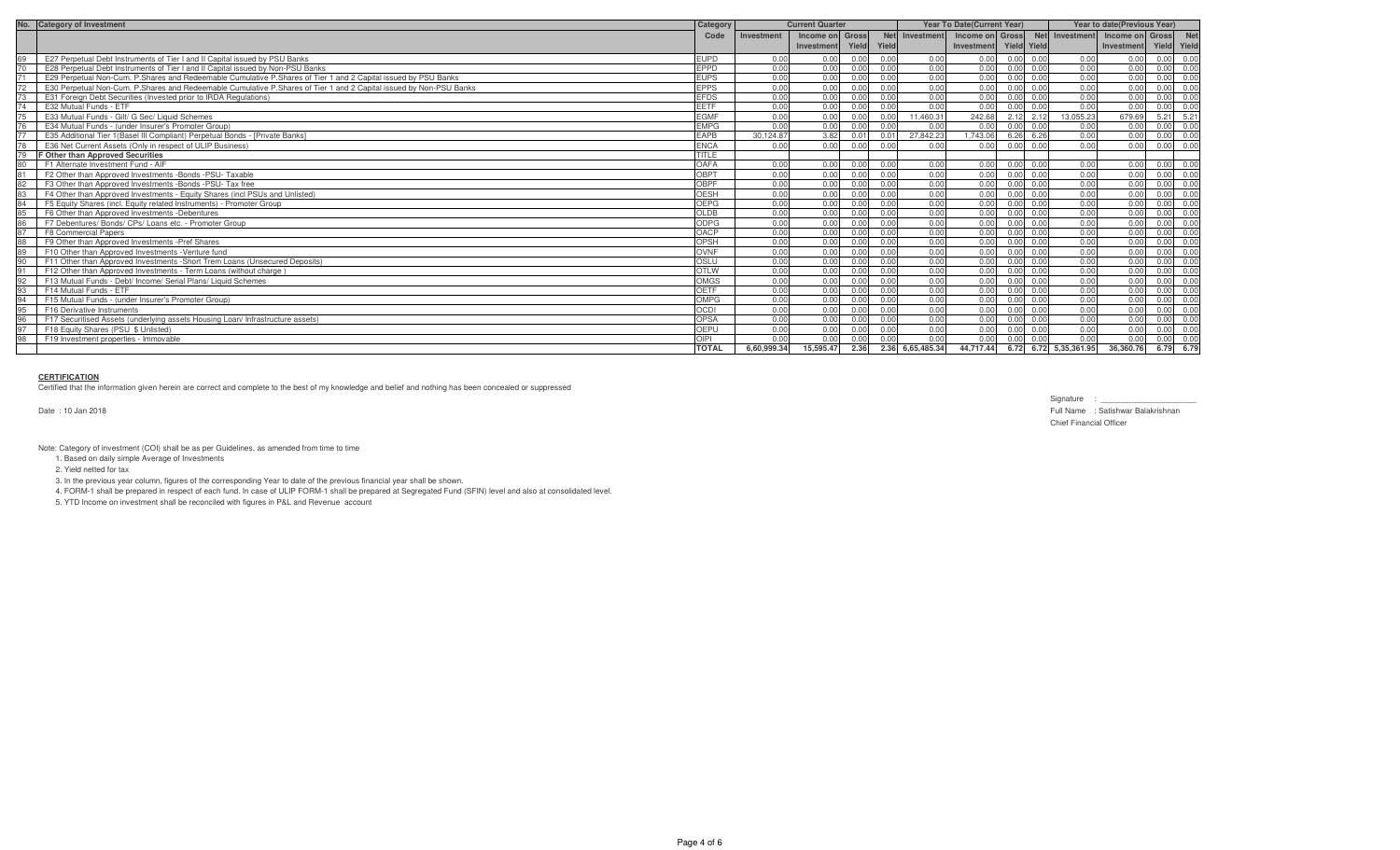| No. | <b>Category of Investment</b>                                                                                      | Category     |             | <b>Current Quarter</b> | <b>Year To Date (Current Year)</b> |       |                  |                 | Year to date(Previous Year) |      |                       |                 |                   |      |
|-----|--------------------------------------------------------------------------------------------------------------------|--------------|-------------|------------------------|------------------------------------|-------|------------------|-----------------|-----------------------------|------|-----------------------|-----------------|-------------------|------|
|     |                                                                                                                    | Code         | Investment  | Income on Gross        |                                    |       | Net Investment   | Income on Gross |                             |      | Net Investment        | Income on Gross |                   |      |
|     |                                                                                                                    |              |             | Investment             | Yield                              | Yield |                  | Investment      | Yield Yield                 |      |                       | Investment      | Yield Yield       |      |
|     | E27 Perpetual Debt Instruments of Tier I and II Capital issued by PSU Banks                                        | <b>EUPD</b>  | 0.00        | 0.00                   | 0.00                               | 0.00  | 0.00             | 0.00            | 0.00                        | 0.00 | 0.00                  | 0.00            | 0.00              | 0.00 |
|     | E28 Perpetual Debt Instruments of Tier I and II Capital issued by Non-PSU Banks                                    | EPPD         | 0.00        | 0.00                   | 0.00                               | 0.00  | 0.00             | 0.00            | 0.00                        | 0.00 | 0.00                  | 0.00            | 0.00              | 0.00 |
|     | E29 Perpetual Non-Cum. P.Shares and Redeemable Cumulative P.Shares of Tier 1 and 2 Capital issued by PSU Banks     | <b>EUPS</b>  | 0.00        | 0.00                   | 0.00                               | 0.00  | 0.00             | 0.00            |                             | 0.00 | 0.00                  | 0.00            |                   | 0.00 |
|     | E30 Perpetual Non-Cum, P.Shares and Redeemable Cumulative P.Shares of Tier 1 and 2 Capital issued by Non-PSU Banks | <b>EPPS</b>  | 0.00        | 0.00                   | 0.00                               | 0.00  | 0.00             | 0.00            | 0.00                        | 0.00 | 0.00                  | 0.00            | $0.00 \quad 0.00$ |      |
|     | E31 Foreign Debt Securities (Invested prior to IRDA Regulations)                                                   | <b>EFDS</b>  | 0.00        | 0.00                   | 0.00                               | 0.00  | 0.00             | 0.00            |                             | 0.00 | 0.00                  | 0.00            | 0.00              | 0.00 |
|     | E32 Mutual Funds - ETF                                                                                             | <b>EETF</b>  | 0.00        | 0.00                   | 0.00                               | 0.00  | 0.00             | 0.00            |                             | 0.00 | 0.00                  | 0.00            | 0.00 0.00         |      |
|     | E33 Mutual Funds - Gilt/ G Sec/ Liquid Schemes                                                                     | <b>EGMF</b>  | 0.00        | 0.00                   | 0.00                               | 0.00  | 11.460.31        | 242.68          | 2.12                        | 2.12 | 13.055.23             | 679.69          | $5.21$ $5.21$     |      |
|     | E34 Mutual Funds - (under Insurer's Promoter Group)                                                                | <b>EMPG</b>  | 0.00        | 0.00                   | 0.00                               | 0.00  | 0.00             | 0.00            | 0.00                        | 0.00 | 0.00                  | 0.00            | 0.00 0.00         |      |
|     | E35 Additional Tier 1 (Basel III Compliant) Perpetual Bonds - [Private Banks]                                      | EAPB         | 30.124.87   | 3.82                   | 0.01                               | 0 01  | 27,842.23        | 1.743.06        | 6.26                        | 6.26 | 0.00                  | 0.00            | $0.00 \ 0.00$     |      |
|     | E36 Net Current Assets (Only in respect of ULIP Business)                                                          | <b>ENCA</b>  | 0.00        | 0.00                   | 0.00                               | 0.00  | 0.00             | 0.00            | 0.00                        | 0.00 | 0.00                  | 0.00            | 0.00 0.00         |      |
|     | F Other than Approved Securities                                                                                   | TITLE        |             |                        |                                    |       |                  |                 |                             |      |                       |                 |                   |      |
|     | F1 Alternate Investment Fund - AIF                                                                                 | OAFA         | 0.00        | 0.00                   | 0.00                               | 0.00  | 0.00             | 0.00            | 0.00                        | 0.00 | 0.00                  | 0.00            | $0.00 \ 0.00$     |      |
|     | F2 Other than Approved Investments - Bonds - PSU- Taxable                                                          | OBPT         | 0.00        | 0.00                   | 0.00                               | 0.00  | 0.00             | 0.00            | 0.00                        | 0.00 | 0.00                  | 0.00            | 0.00 0.00         |      |
| 82  | F3 Other than Approved Investments -Bonds -PSU- Tax free                                                           | OBPF         | 0.00        | 0.00                   | 0.00                               | 0.00  | 0.00             | 0.00            | 0 <sub>0</sub>              | 0.00 | 0.00                  | 0.00            | 0.00 0.00         |      |
|     | F4 Other than Approved Investments - Equity Shares (incl PSUs and Unlisted)                                        | <b>OESH</b>  | 0.00        | 0.00                   | 0.00                               | 0.00  | 0.00             | 0.00            | n nr                        | 0.00 | 0.00                  | 0.00            | 0.00 0.00         |      |
|     | F5 Equity Shares (incl. Equity related Instruments) - Promoter Group                                               | OEPG         | 0.00        | 0.00                   | 0.00                               | 0.00  | 0.00             | 0.00            | 0.00                        | 0.00 | 0.00                  | 0.00            | $0.00 \ 0.00$     |      |
|     | F6 Other than Approved Investments - Debentures                                                                    | <b>OLDB</b>  | 0.00        | 0.00                   | 0.00                               | 0.00  | 0.00             | 0.00            | 0.00                        | 0.00 | 0.00                  | 0.00            | 0.00 0.00         |      |
|     | F7 Debentures/ Bonds/ CPs/ Loans etc. - Promoter Group                                                             | <b>ODPG</b>  | 0.00        | 0.00                   | 0.00                               | 0.00  | 0.00             | 0.00            | 0.00                        | 0.00 | 0.00                  | 0.00            | 0.00              | 0.00 |
|     | F8 Commercial Papers                                                                                               | OACP         | 0.00        | 0.00                   | 0.00                               | 0.00  | 0.00             | 0.00            | 0.00                        | 0.00 | 0.00                  | 0.00            | 0.00              | 0.00 |
|     | F9 Other than Approved Investments - Pref Shares                                                                   | OPSH         | 0.00        | 0.00                   | 0.00                               | 0.00  | 0.00             | 0.00            |                             | 0.00 | 0.00                  | 0.00            | $0.00 \quad 0.00$ |      |
| 89  | F10 Other than Approved Investments - Venture fund                                                                 | OVNF         | 0.00        | 0.00                   | 0.00                               | 0.00  | 0.00             | 0.00            |                             | 0.00 | 0.00                  | 0.00            | 0.00              | 0.00 |
|     | F11 Other than Approved Investments - Short Trem Loans (Unsecured Deposits)                                        | OSLU         | 0.00        | 0.00                   | 0.00                               | 0.00  | 0.00             | 0.00            | n nn                        | 0.00 | 0.00                  | 0.00            | 0.00 0.00         |      |
|     | F12 Other than Approved Investments - Term Loans (without charge)                                                  | <b>OTLW</b>  | 0.00        | 0.00                   | 0.00                               | 0.00  | 0.00             | 0.00            | 0.00                        | 0.00 | 0.00                  | 0.00            | $0.00 \ 0.00$     |      |
|     | F13 Mutual Funds - Debt/ Income/ Serial Plans/ Liquid Schemes                                                      | <b>OMGS</b>  | 0.00        | 0.00                   | 0.00                               | 0.00  | 0.00             | 0.00            | 0.00                        | 0.00 | 0.00                  | 0.00            | 0.00              | 0.00 |
|     | F14 Mutual Funds - ETF                                                                                             | OETF         | 0.00        | 0.00                   | 0.00                               | 0.00  | 0.00             | 0.00            | 0.00                        | 0.00 | 0.00                  | 0.00            | 0.00              | 0.00 |
|     | F15 Mutual Funds - (under Insurer's Promoter Group)                                                                | OMPG         | 0.00        | 0.00                   | 0.00                               | 0.00  | 0.00             | 0.00            | 0.00                        | 0.00 | 0.00                  | 0.00            | 0.00              | 0.00 |
|     | F16 Derivative Instruments                                                                                         | <b>OCDI</b>  | 0.00        | 0.00                   | 0.00                               | 0.00  | 0.00             | 0.00            |                             | 0.00 | 0.00                  | 0.00            | 0.00              | 0.00 |
|     | F17 Securitised Assets (underlying assets Housing Loan/ Infrastructure assets)                                     | OPSA         | 0.00        | 0.00                   | 0.00                               | 0.00  | 0.00             | 0.00            | 0 <sub>0</sub>              | 0.00 | 0.00                  | 0.00            | $0.00 \ 0.00$     |      |
|     | F18 Equity Shares (PSU \$ Unlisted)                                                                                | OEPU         | 0.00        | 0.00                   | 0.00                               | 0.00  | 0.00             | 0.00            | 0.00                        | 0.00 | 0.00                  | 0.00            | $0.00 \ 0.00$     |      |
|     | F19 Investment properties - Immovable                                                                              | OIPI         | 0.00        | 0.00                   | 0.00                               | 0.00  | 0.00             | 0.00            |                             | 0.00 | 0.00                  | 0.00            | 0.00 0.00         |      |
|     |                                                                                                                    | <b>TOTAL</b> | 6.60.999.34 | 15.595.47              | 2.36                               |       | 2.36 6,65,485.34 | 44.717.44       |                             |      | 6.72 6.72 5.35.361.95 | 36,360.76       | 6.79 6.79         |      |

## **CERTIFICATION**

Certified that the information given herein are correct and complete to the best of my knowledge and belief and nothing has been concealed or suppressed

Date : 10 Jan 2018

Signature : \_\_\_\_\_\_ Full Name : Satishwar Balakrishnan Chief Financial Officer

Note: Category of investment (COI) shall be as per Guidelines, as amended from time to time

1. Based on daily simple Average of Investments

2. Yield netted for tax

3. In the previous year column, figures of the corresponding Year to date of the previous financial year shall be shown.

4. FORM-1 shall be prepared in respect of each fund. In case of ULIP FORM-1 shall be prepared at Segregated Fund (SFIN) level and also at consolidated level.

5. YTD Income on investment shall be reconciled with figures in P&L and Revenue account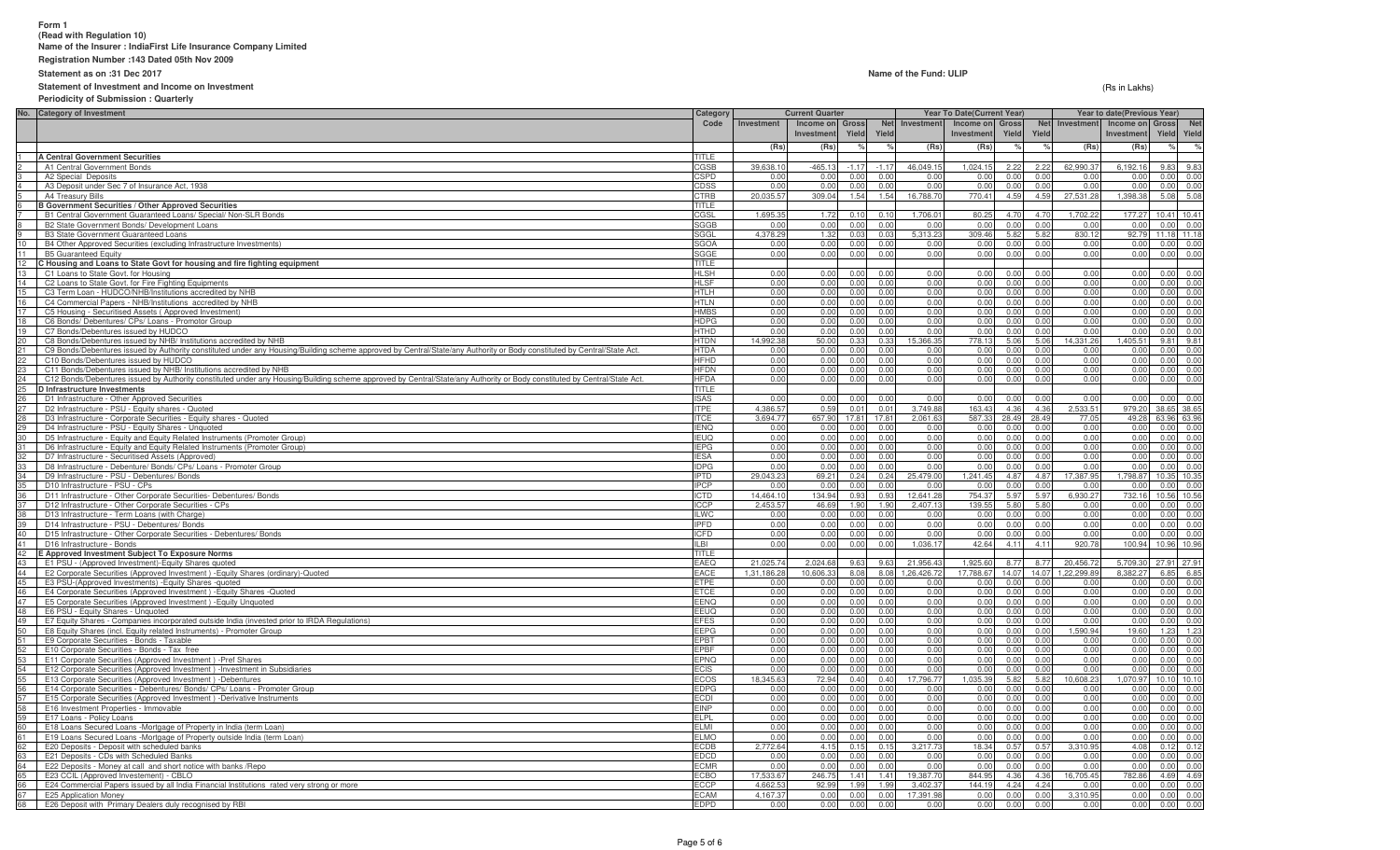## **Form 1 (Read with Regulation 10)Name of the Insurer : IndiaFirst Life Insurance Company Limited**

**Registration Number :143 Dated 05th Nov 2009**

**Statement as on :31 Dec 2017**

### **Statement of Investment and Income on Investment**

**Periodicity of Submission : Quarterly**

(Rs in Lakhs)

|                 | No. Category of Investment                                                                                                                                               | Category                   | <b>Current Quarter</b>  |                       |              |                | <b>Year To Date(Current Year)</b> |                       |                | Year to date(Previous Year) |                        |                      |                     |              |
|-----------------|--------------------------------------------------------------------------------------------------------------------------------------------------------------------------|----------------------------|-------------------------|-----------------------|--------------|----------------|-----------------------------------|-----------------------|----------------|-----------------------------|------------------------|----------------------|---------------------|--------------|
|                 |                                                                                                                                                                          | Code                       | Investment              | Income on Gross       |              | <b>Net</b>     | Investment                        | Income on Gross       |                |                             | Net Investment         | Income on Gross      |                     | <b>Net</b>   |
|                 |                                                                                                                                                                          |                            |                         | Investment            | Yield        | Yield          |                                   | Investment            | Yield          | Yield                       |                        | Investment           | Yield               | Yield        |
|                 |                                                                                                                                                                          |                            | (Rs)                    | (Rs)                  |              |                | (Rs)                              | (Rs)                  |                |                             | (Rs)                   | (Rs)                 | $\%$                |              |
|                 | <b>A Central Government Securities</b>                                                                                                                                   | TITI F                     |                         |                       |              |                |                                   |                       |                |                             |                        |                      |                     |              |
|                 | A1 Central Government Bonds                                                                                                                                              | CGSB                       | 39,638.1                | $-465.13$             | $-1.17$      | $-1.17$        | 46,049.15                         | 1,024.15              | 2.22           | 2.22                        | 62,990.37              | 6,192.16             | 9.83                | 9.83         |
|                 | A2 Special Deposits                                                                                                                                                      | <b>CSPD</b>                | 0.00                    | 0.00                  | 0.00         | 0.00           | 0.00                              | 0.00                  | 0.00           | 0.00                        | 0.00                   | 0.00                 | 0.00                | 0.00         |
| $\overline{4}$  | A3 Deposit under Sec 7 of Insurance Act, 1938                                                                                                                            | CDSS                       | 0.00                    | 0.00                  | 0.00         | 0.00           | 0.00                              | 0.00                  | 0.00           | 0.00                        | 0.00                   | 0.00                 | 0.00                | 0.00         |
| 5               | A4 Treasury Bills<br><b>B Government Securities / Other Approved Securities</b>                                                                                          | CTRB<br>TITLE              | 20,035.57               | 309.04                | 1.54         | 1.54           | 16,788.70                         | 770.41                | 4.59           | 4.59                        | 27,531.28              | 1,398.38             | 5.08                | 5.08         |
|                 | B1 Central Government Guaranteed Loans/ Special/ Non-SLR Bonds                                                                                                           | CGSL                       | 1,695.3                 | 1.72                  | 0.10         | 0.10           | 1,706.0                           | 80.25                 | 4.70           | 4.70                        | 1,702.2                | 177.27               | 10.41 10.41         |              |
|                 | B2 State Government Bonds/ Development Loans                                                                                                                             | SGGB                       | 0.00                    | 0.00                  | 0.00         | 0.00           | 0.0(                              | 0.00                  | 0.00           | 0.00                        | 0.00                   | 0.00                 | 0.00                | 0.00         |
| $\overline{9}$  | <b>B3 State Government Guaranteed Loans</b>                                                                                                                              | SGGL                       | 4.378.29                | 1.32                  | 0.03         | 0.03           | 5.313.2                           | 309.46                | 5.82           | 5.82                        | 830.1                  | 92.79                | 11.18 11.18         |              |
| 10              | B4 Other Approved Securities (excluding Infrastructure Investments)                                                                                                      | <b>SGOA</b>                | 0.0                     | 0.00                  | 0.0          | 0 <sub>0</sub> | 0.0                               | 0.0(                  | 0.00           | 0.00                        | 0.0                    | 0.00                 | 0.00                | 0.00         |
| 11              | <b>B5 Guaranteed Equity</b>                                                                                                                                              | SGGE                       | 0.00                    | 0.00                  | 0.00         | 0.00           | 0.00                              | 0.00                  | 0.00           | 0.00                        | 0.00                   | 0.00                 | 0.00                | 0.00         |
| 12              | C Housing and Loans to State Govt for housing and fire fighting equipment                                                                                                | <b>TITLE</b>               |                         |                       |              |                |                                   |                       |                |                             |                        |                      |                     |              |
|                 | C1 Loans to State Govt. for Housing                                                                                                                                      | <b>HLSH</b>                | 0.00                    | 0.00                  | 0.00         | 0.00           | 0.00                              | 0.00                  | 0.00           | 0.00                        | 0.00                   | 0.00                 | 0.00                | 0.00         |
|                 | C2 Loans to State Govt. for Fire Fighting Equipments                                                                                                                     | <b>HLSF</b>                | 0.00                    | 0.00                  | 0.00         | 0.00           | 0.00                              | 0.00                  | 0.00           | 0.00                        | 0.00                   | 0.00                 | 0.00                | 0.00         |
|                 | C3 Term Loan - HUDCO/NHB/Institutions accredited by NHB                                                                                                                  | <b>HTLH</b>                | 0.00                    | 0.00                  | 0.00         | 0.00           | 0.00                              | 0.00                  | 0.00           | 0.00                        | 0.00                   | 0.00                 | 0.00                | 0.00         |
| 16              | C4 Commercial Papers - NHB/Institutions accredited by NHB                                                                                                                | <b>HTLN</b>                | 0.00                    | 0.00                  | 0.00         | 0.00           | 0.00                              | 0.00                  | 0.00           | 0.00                        | 0.00                   | 0.00                 | 0.00                | 0.00         |
| 17              | C5 Housing - Securitised Assets (Approved Investment)                                                                                                                    | <b>HMBS</b>                | 0.00                    | 0.00                  | 0.00         | 0.00           | 0 <sub>0</sub>                    | 0.00                  | 0.00           | 0.00                        | 0.00                   | 0.00                 | 0.00                | 0.00         |
| 18              | C6 Bonds/ Debentures/ CPs/ Loans - Promotor Group                                                                                                                        | <b>HDPG</b>                | 0.00                    | 0.00                  | 0.00         | 0.00           | 0.00                              | 0.00                  | 0.00           | 0.00                        | 0.00                   | 0.00                 | 0.00                | 0.00         |
| 19              | C7 Bonds/Debentures issued by HUDCO                                                                                                                                      | <b>HTHD</b>                | 0.00                    | 0.00                  | 0.00         | 0.00           | 0.0(                              | 0.00                  | 0.00           | 0.00                        | 0.00                   | 0.00                 | 0.00                | 0.00         |
| 20              | C8 Bonds/Debentures issued by NHB/ Institutions accredited by NHB                                                                                                        | <b>HTDN</b>                | 14,992.38               | 50.00                 | 0.33         | 0.33           | 15,366.3                          | 778.13                | 5.06           | 5.06                        | 14,331.26              | 1,405.51             |                     | 9.81 9.81    |
| 21              | C9 Bonds/Debentures issued by Authority constituted under any Housing/Building scheme approved by Central/State/any Authority or Body constituted by Central/State Act.  | <b>HTDA</b>                | 0.00                    | 0.00                  | 0.00         | 0.00           | 0.00                              | 0.00                  | 0.00           | 0.00                        | 0.00                   | 0.00                 | 0.00                | 0.00         |
| 22              | C10 Bonds/Debentures issued by HUDCO                                                                                                                                     | <b>HFHD</b>                | 0.00                    | 0.00                  | 0.00         | 0.00           | 0.00                              | 0.00                  | 0.00           | 0.00                        | 0.00                   | 0.00                 | 0.00                | 0.00         |
| 23              | C11 Bonds/Debentures issued by NHB/ Institutions accredited by NHB                                                                                                       | <b>HFDN</b><br><b>HFDA</b> | 0.00                    | 0.00<br>0.00          | 0.00         | 0.00<br>0.00   | 0.00<br>0 <sup>0</sup>            | 0.00                  | 0.00           | 0.00                        | 0.00                   | 0.00                 | 0.00                | 0.00<br>0.00 |
| 24<br>25        | C12 Bonds/Debentures issued by Authority constituted under any Housing/Building scheme approved by Central/State/any Authority or Body constituted by Central/State Act. | TITLE                      | 0.00                    |                       | 0.00         |                |                                   | 0.00                  |                | 0.00                        | 0.00                   | 0.00                 | 0.00                |              |
|                 | D Infrastructure Investments<br>D1 Infrastructure - Other Approved Securities                                                                                            | <b>ISAS</b>                | 0 <sub>0</sub>          | 0.00                  | n r          | 0 <sub>0</sub> | 0 <sup>0</sup>                    | 0.0(                  | 0 <sup>0</sup> | 0 <sub>0</sub>              | 0.0                    | 0.00                 | 0.00                | 0.00         |
| 26<br>27        | D2 Infrastructure - PSU - Equity shares - Quoted                                                                                                                         | <b>ITPE</b>                | 4.386.5                 | 0.59                  | 0.0          | $0.0^{\circ}$  | 3.749.8                           | 163.43                | 4.36           | 4.36                        | 2.533.5                | 979.2                | 38.65 38.65         |              |
| 28              | D3 Infrastructure - Corporate Securities - Equity shares - Quoted                                                                                                        | <b>ITCE</b>                | 3.694.77                | 657.90                | 17.81        | 17.81          | 2.061.6                           | 587.33                | 28.49          | 28.49                       | 77.05                  | 49.28                | 63.96 63.96         |              |
|                 | D4 Infrastructure - PSU - Equity Shares - Unquoted                                                                                                                       | <b>IENQ</b>                | 0.00                    | 0.00                  | 0.00         | 0.00           | 0.0(                              | 0.00                  | 0.00           | 0.00                        | 0.00                   | 0.00                 | 0.00                | 0.00         |
| $\frac{29}{30}$ | D5 Infrastructure - Equity and Equity Related Instruments (Promoter Group)                                                                                               | <b>IEUQ</b>                | 0.00                    | 0.00                  | 0.00         | 0.00           | 0.0(                              | 0.0(                  | 0.0            | 0.00                        | 0.00                   | 0.00                 | 0.00                | 0.00         |
| 31              | D6 Infrastructure - Equity and Equity Related Instruments (Promoter Group)                                                                                               | <b>IEPG</b>                | 0.00                    | 0.00                  | 0.00         | 0.00           | 0.00                              | 0.00                  | 0.00           | 0.00                        | 0.00                   | 0.0(                 | 0.00                | 0.00         |
|                 | D7 Infrastructure - Securitised Assets (Approved)                                                                                                                        | <b>IESA</b>                | 0.00                    | 0.00                  | 0.00         | 0.00           | 0.00                              | 0.00                  | 0.00           | 0.00                        | 0.00                   | 0.00                 | 0.00                | 0.00         |
| 33              | D8 Infrastructure - Debenture/ Bonds/ CPs/ Loans - Promoter Group                                                                                                        | <b>IDPG</b>                | 0.00                    | 0.00                  | 0.00         | 0.00           | 0.0(                              | 0.00                  | 0.00           | 0.00                        | 0.00                   | 0.00                 | 0.00                | 0.00         |
| 34              | D9 Infrastructure - PSU - Debentures/ Bonds                                                                                                                              | <b>IPTD</b>                | 29,043.23               | 69.21                 | 0.24         | 0.24           | 25,479.0                          | 1,241.45              | 4.87           | 4.87                        | 17,387.9               | 1,798.87             | 10.35               | 10.35        |
| 35              | D10 Infrastructure - PSU - CPs                                                                                                                                           | <b>IPCP</b>                | 0.01                    | 0.00                  | 0.00         | 0.00           | 0.0                               | 0.00                  | 0.00           | 0.0                         | 0.0                    | 0.00                 | 0.00                | 0.00         |
| 36              | D11 Infrastructure - Other Corporate Securities- Debentures/ Bonds                                                                                                       | ICTD                       | 14,464.10               | 134.94                | 0.93         | 0.93           | 12,641.2                          | 754.37                | 5.97           | 5.97                        | 6,930.27               | 732.16               | 10.56 10.56         |              |
| 37              | D12 Infrastructure - Other Corporate Securities - CPs                                                                                                                    | <b>ICCP</b>                | 2,453.57                | 46.69                 | 1.90         | 1.90           | 2,407.1                           | 139.55                | 5.80           | 5.80                        | 0.00                   | 0.00                 |                     | 0.00 0.00    |
| 38              | D13 Infrastructure - Term Loans (with Charge)                                                                                                                            | <b>ILWC</b>                | 0.00                    | 0.00                  | 0.00         | 0.00           | 0.00                              | 0.00                  | 0.00           | 0.00                        | 0.00                   | 0.00                 | 0.00                | 0.00         |
| 39              | D14 Infrastructure - PSU - Debentures/ Bonds                                                                                                                             | <b>IPFD</b>                | 0.00                    | 0.00                  | 0.00         | 0.00           | 0.00                              | 0.00                  | 0.00           | 0.00                        | 0.00                   | 0.00                 | 0.00                | 0.00         |
| 40              | D15 Infrastructure - Other Corporate Securities - Debentures/ Bonds                                                                                                      | <b>ICFD</b>                | 0.00                    | 0.00                  | 0.00         | 0.00           | 0.00                              | 0.00                  | 0.00           | 0.00                        | 0.00                   | 0.00                 | 0.00                | 0.00         |
| 41              | D16 Infrastructure - Bonds                                                                                                                                               | ILBI                       | 0.00                    | 0.00                  | 0.00         | 0.00           | 1.036.17                          | 42.64                 | 4.11           | 4.11                        | 920.78                 | 100.94               | 10.96 10.96         |              |
| 42              | E Approved Investment Subject To Exposure Norms                                                                                                                          | TITLE                      |                         |                       |              |                |                                   |                       |                |                             |                        |                      |                     |              |
| 43              | E1 PSU - (Approved Investment)-Equity Shares quoted                                                                                                                      | EAEQ<br>EACE               | 21,025.7<br>1,31,186.28 | 2,024.68<br>10.606.33 | 9.63<br>8.08 | 9.63<br>8.08   | 21,956.4<br>1,26,426.7            | 1,925.60<br>17,788.67 | 8.77<br>14.07  | 8.77<br>14.07               | 20,456.7<br>1,22,299.8 | 5,709.30<br>8,382.27 | 27.91 27.91<br>6.85 |              |
| 45              | 44 E2 Corporate Securities (Approved Investment) - Equity Shares (ordinary)-Quoted<br>E3 PSU-(Approved Investments) - Equity Shares - quoted                             | <b>ETPE</b>                | 0.00                    | 0.00                  | 0.00         | 0.00           | 0.00                              | 0.00                  | 0.00           | 0.00                        | 0.00                   | 0.00                 | 0.00                | 6.85<br>0.00 |
| 46              | E4 Corporate Securities (Approved Investment) - Equity Shares - Quoted                                                                                                   | <b>ETCE</b>                | 0.00                    | 0.00                  | 0.00         | 0.00           | 0.0(                              | 0.00                  | 0.00           | 0.00                        | 0.00                   | 0.00                 | 0.00                | 0.00         |
| 47              | E5 Corporate Securities (Approved Investment) - Equity Unquoted                                                                                                          | <b>EENQ</b>                | 0.00                    | 0.00                  | 0.00         | 0.00           | 0.00                              | 0.00                  | 0.00           | 0.00                        | 0.00                   | 0.00                 | 0.00                | 0.00         |
| 48              | E6 PSU - Equity Shares - Unquoted                                                                                                                                        | EEUQ                       | 0.00                    | 0.00                  | 0.00         | 0.00           | 0.00                              | 0.00                  | 0.00           | 0.00                        | 0.00                   | 0.00                 | 0.00                | 0.00         |
| 49              | E7 Equity Shares - Companies incorporated outside India (invested prior to IRDA Regulations)                                                                             | <b>EFES</b>                | 0.00                    | 0.00                  | 0.00         | 0.00           | 0.00                              | 0.00                  | 0.00           | 0.00                        | 0.00                   | 0.00                 | 0.00                | 0.00         |
| 50              | E8 Equity Shares (incl. Equity related Instruments) - Promoter Group                                                                                                     | EEPG                       | 0.00                    | 0.00                  | 0.00         | 0.00           | 0.00                              | 0.00                  | 0.00           | 0.00                        | ,590.94                | 19.60                | 1.23                | 1.23         |
| 51              | E9 Corporate Securities - Bonds - Taxable                                                                                                                                | EPBT                       | 0.00                    | 0.00                  | 0.00         | 0 <sub>0</sub> | 0.00                              | 0.00                  | 0.00           | 0.0                         | 0.00                   | 0.00                 | 0.00                | 0.00         |
| 52              | E10 Corporate Securities - Bonds - Tax free                                                                                                                              | EPBF                       | 0.00                    | 0.00                  | 0.00         | 0.00           | 0.00                              | 0.00                  | 0.00           | 0.00                        | 0.00                   | 0.00                 | 0.00                | 0.00         |
| 53              | E11 Corporate Securities (Approved Investment) - Pref Shares                                                                                                             | <b>EPNQ</b>                | 0.00                    | 0.00                  | 0.00         | 000            | 0.00                              | 0.00                  | 0.00           | 0.00                        | 0.00                   | 0.00                 | 0.00                | 0.00         |
| 54              | E12 Corporate Securities (Approved Investment) - Investment in Subsidiaries                                                                                              | <b>ECIS</b>                | 0.00                    | 0.00                  | 0.00         | 0.00           | 0.00                              | 0.00                  | 0.00           | 0.00                        | 0.00                   | 0.00                 | 0.00                | 0.00         |
| 55              | E13 Corporate Securities (Approved Investment) -Debentures                                                                                                               | <b>ECOS</b>                | 18.345.63               | 72.94                 | 0.40         | 0.40           | 7.796.77                          | 1,035.39              | 5.82           | 5.82                        | 0.608.23               | ,070.97              | 10.10 10.10         |              |
| 56              | E14 Corporate Securities - Debentures/ Bonds/ CPs/ Loans - Promoter Group                                                                                                | <b>EDPG</b>                | 0.00                    | 0.00                  | 0.00         | 0.00           | 0 <sup>0</sup>                    | 0.00                  | 0.00           | 0.00                        | 0.00                   | 0.00                 | 0.00                | 0.00         |
| 57              | E15 Corporate Securities (Approved Investment) -Derivative Instruments                                                                                                   | <b>ECDI</b>                | 0.00                    | 0.00                  | 0.00         | 0.00           | 0 <sup>0</sup>                    | 0.00                  | 0.00           | 0.00                        | 0.00                   | 0.00                 | 0.00                | 0.00         |
| 58              | E16 Investment Properties - Immovable                                                                                                                                    | <b>EINP</b>                | 0.00                    | 0.00                  | 0.0          | 0.00           | 0.0(                              | 0.00                  | 0.00           | 0.00                        | 0.00                   | 0.00                 | 0.00                | 0.00         |
| 59              | E17 Loans - Policy Loans                                                                                                                                                 | <b>ELPL</b>                | 0.00                    | 0.00                  | 0.0          | 0.00           | 0.00                              | 0.00                  | 0.0            | 0.00                        | 0.00                   | 0.00                 | 0.00                | 0.00         |
|                 | 60 E18 Loans Secured Loans -Mortgage of Property in India (term Loan)                                                                                                    | <b>ELMI</b>                | 0.00                    | 0.00                  | 0.0          | 0.00           | 0.00                              | 0.00                  | 0.00           | 0 <sub>0</sub>              | 0.00                   | 0.00                 | 0.00                | 0.00         |
| 61              | E19 Loans Secured Loans -Mortgage of Property outside India (term Loan)                                                                                                  | <b>ELMO</b>                | 0.00                    | 0.00                  | 0.00         | 0.00           | 0.00                              | 0.00                  | 0.00           | 0.00                        | 0.00                   | 0.00                 | 0.00                | 0.00         |
| 62              | E20 Deposits - Deposit with scheduled banks                                                                                                                              | <b>ECDB</b>                | 2,772.64                | 4.15                  | 0.15         | 0.15           | 3,217.7                           | 18.34                 | 0.57           | 0.57                        | 3,310.95               | 4.08                 | 0.12                | 0.12         |
|                 | E21 Deposits - CDs with Scheduled Banks                                                                                                                                  | <b>EDCD</b>                | 0.0                     | 0.00                  | 0.0          | 0.00           | 0.0(                              | 0.0(                  | 0.00           | 0.00                        | 0.0                    | 0.0(                 | 0.00                | 0.00         |
|                 | 64 E22 Deposits - Money at call and short notice with banks / Repo<br>E23 CCIL (Approved Investement) - CBLO                                                             | ECMR<br>ECBO               | 0.00<br>17.533.67       | 0.00<br>246.75        | 0.00<br>1.41 | 0.00<br>1.41   | 0.00<br>19,387.7                  | 0.00<br>844.95        | 0.00<br>4.36   | 0.00<br>4.36                | 0.00<br>16.705.45      | 0.00<br>782.86       | 0.00<br>4.69        | 0.00<br>4.69 |
| 65<br>66        | E24 Commercial Papers issued by all India Financial Institutions rated very strong or more                                                                               | ECCP                       | 4.662.53                | 92.99                 | 1.99         | 1.99           | 3.402.3                           | 144.19                | 4.24           | 4.24                        | 0.00                   | 0.00                 | 0.00                | 0.00         |
| 67              | E25 Application Money                                                                                                                                                    | ECAM                       | 4.167.37                | 0.00                  | 0.00         | 0 <sub>0</sub> | 17,391.9                          | 0.00                  | 0.00           | 0.00                        | 3.310.9                | 0.00                 | 0.00                | 0.00         |
| 68              | E26 Deposit with Primary Dealers duly recognised by RBI                                                                                                                  | EDPD                       | 0.00                    | 0.00                  | 0.00         | 0.00           | 0.00                              | 0.00                  | 0.00           | 0.00                        | 0.00                   | 0.00                 | 0.00                | 0.00         |
|                 |                                                                                                                                                                          |                            |                         |                       |              |                |                                   |                       |                |                             |                        |                      |                     |              |